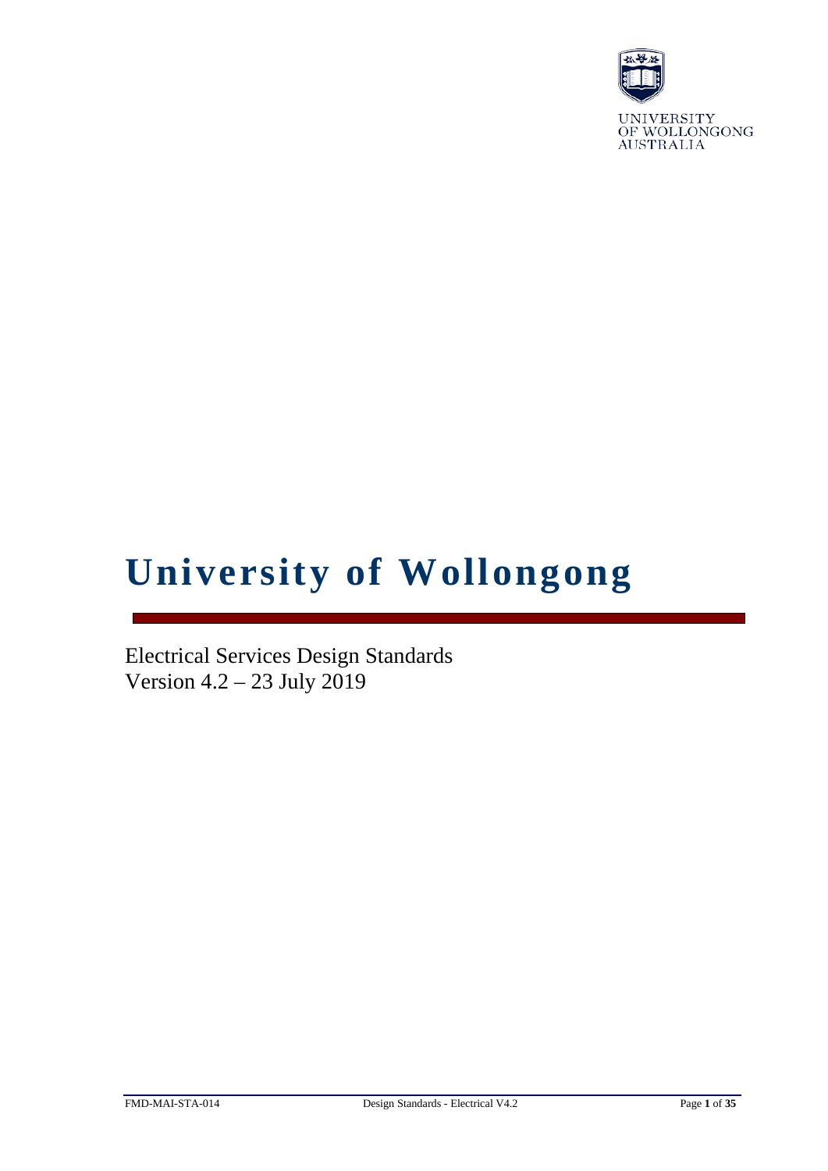

# **University of Wollongong**

Electrical Services Design Standards Version 4.2 – 23 July 2019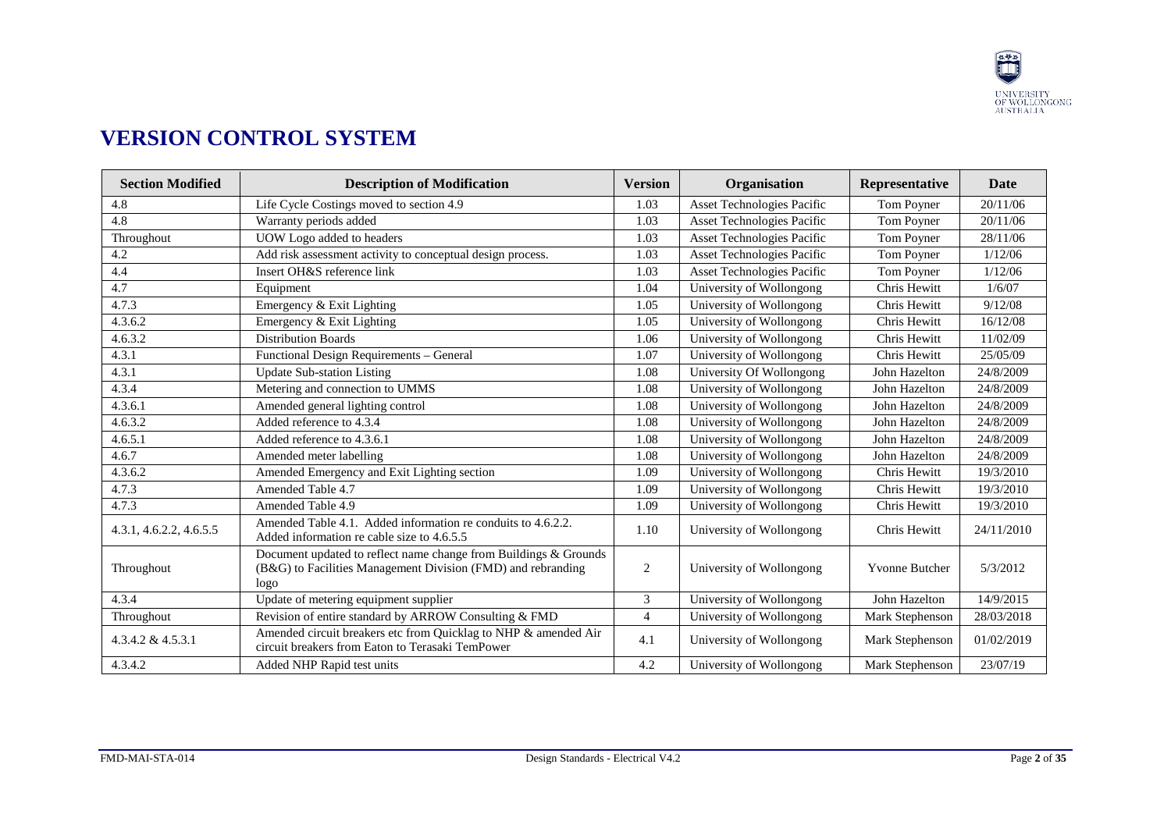

# **VERSION CONTROL SYSTEM**

| <b>Section Modified</b> | <b>Description of Modification</b>                                                                                                       | <b>Version</b> | Organisation                      | Representative  | Date       |
|-------------------------|------------------------------------------------------------------------------------------------------------------------------------------|----------------|-----------------------------------|-----------------|------------|
| 4.8                     | Life Cycle Costings moved to section 4.9                                                                                                 | 1.03           | <b>Asset Technologies Pacific</b> | Tom Poyner      | 20/11/06   |
| 4.8                     | Warranty periods added                                                                                                                   | 1.03           | <b>Asset Technologies Pacific</b> | Tom Poyner      | 20/11/06   |
| Throughout              | UOW Logo added to headers                                                                                                                | 1.03           | <b>Asset Technologies Pacific</b> | Tom Poyner      | 28/11/06   |
| 4.2                     | Add risk assessment activity to conceptual design process.                                                                               | 1.03           | <b>Asset Technologies Pacific</b> | Tom Poyner      | 1/12/06    |
| 4.4                     | Insert OH&S reference link                                                                                                               | 1.03           | <b>Asset Technologies Pacific</b> | Tom Poyner      | 1/12/06    |
| 4.7                     | Equipment                                                                                                                                | 1.04           | University of Wollongong          | Chris Hewitt    | 1/6/07     |
| 4.7.3                   | Emergency & Exit Lighting                                                                                                                | 1.05           | University of Wollongong          | Chris Hewitt    | 9/12/08    |
| 4.3.6.2                 | Emergency & Exit Lighting                                                                                                                | 1.05           | University of Wollongong          | Chris Hewitt    | 16/12/08   |
| 4.6.3.2                 | <b>Distribution Boards</b>                                                                                                               | 1.06           | University of Wollongong          | Chris Hewitt    | 11/02/09   |
| 4.3.1                   | Functional Design Requirements - General                                                                                                 | 1.07           | University of Wollongong          | Chris Hewitt    | 25/05/09   |
| 4.3.1                   | <b>Update Sub-station Listing</b>                                                                                                        | 1.08           | University Of Wollongong          | John Hazelton   | 24/8/2009  |
| 4.3.4                   | Metering and connection to UMMS                                                                                                          | 1.08           | University of Wollongong          | John Hazelton   | 24/8/2009  |
| 4.3.6.1                 | Amended general lighting control                                                                                                         | 1.08           | University of Wollongong          | John Hazelton   | 24/8/2009  |
| 4.6.3.2                 | Added reference to 4.3.4                                                                                                                 | 1.08           | University of Wollongong          | John Hazelton   | 24/8/2009  |
| 4.6.5.1                 | Added reference to 4.3.6.1                                                                                                               | 1.08           | University of Wollongong          | John Hazelton   | 24/8/2009  |
| 4.6.7                   | Amended meter labelling                                                                                                                  | 1.08           | University of Wollongong          | John Hazelton   | 24/8/2009  |
| 4.3.6.2                 | Amended Emergency and Exit Lighting section                                                                                              | 1.09           | University of Wollongong          | Chris Hewitt    | 19/3/2010  |
| 4.7.3                   | <b>Amended Table 4.7</b>                                                                                                                 | 1.09           | University of Wollongong          | Chris Hewitt    | 19/3/2010  |
| 4.7.3                   | Amended Table 4.9                                                                                                                        | 1.09           | University of Wollongong          | Chris Hewitt    | 19/3/2010  |
| 4.3.1, 4.6.2.2, 4.6.5.5 | Amended Table 4.1. Added information re conduits to 4.6.2.2.<br>Added information re cable size to 4.6.5.5                               | 1.10           | University of Wollongong          | Chris Hewitt    | 24/11/2010 |
| Throughout              | Document updated to reflect name change from Buildings & Grounds<br>(B&G) to Facilities Management Division (FMD) and rebranding<br>logo | $\overline{2}$ | University of Wollongong          | Yvonne Butcher  | 5/3/2012   |
| 4.3.4                   | Update of metering equipment supplier                                                                                                    | 3              | University of Wollongong          | John Hazelton   | 14/9/2015  |
| Throughout              | Revision of entire standard by ARROW Consulting & FMD                                                                                    | $\overline{4}$ | University of Wollongong          | Mark Stephenson | 28/03/2018 |
| $4.3.4.2 \& 4.5.3.1$    | Amended circuit breakers etc from Quicklag to NHP & amended Air<br>circuit breakers from Eaton to Terasaki TemPower                      | 4.1            | University of Wollongong          | Mark Stephenson | 01/02/2019 |
| 4.3.4.2                 | Added NHP Rapid test units                                                                                                               | 4.2            | University of Wollongong          | Mark Stephenson | 23/07/19   |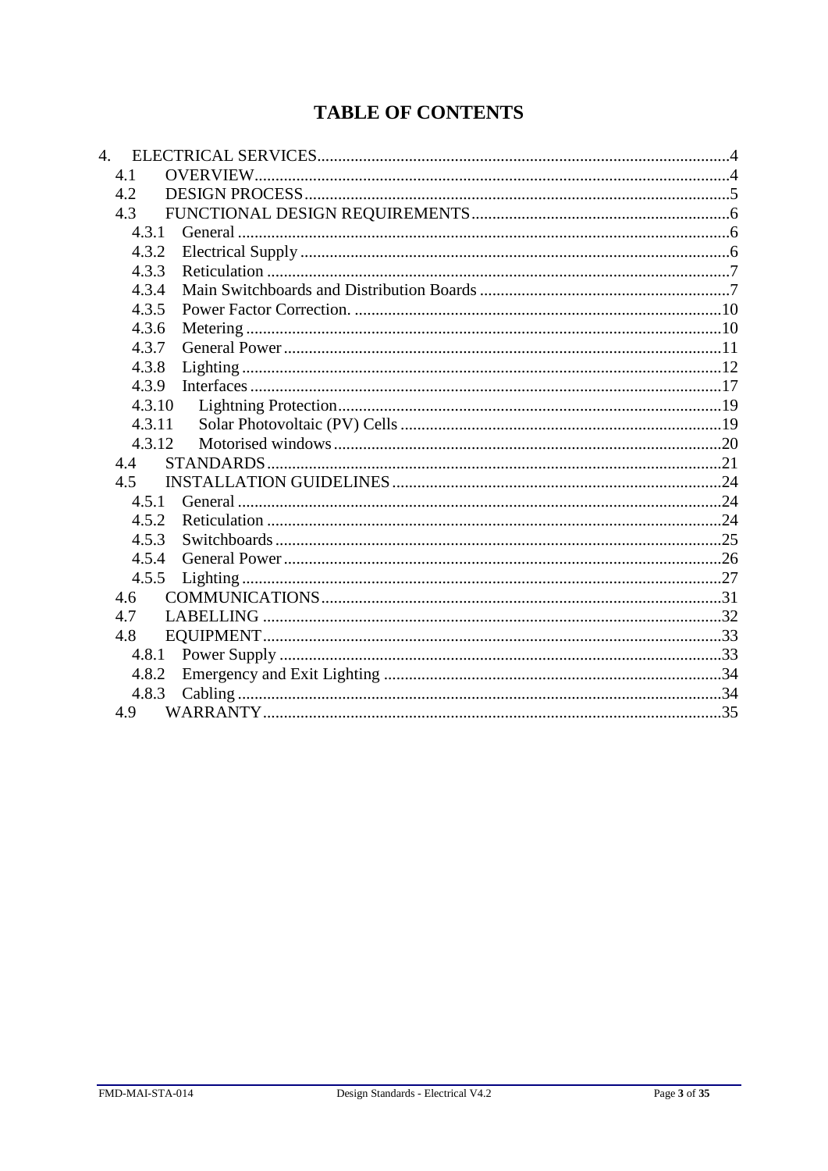# **TABLE OF CONTENTS**

| 4.     |  |
|--------|--|
| 4.1    |  |
| 4.2    |  |
| 4.3    |  |
| 4.3.1  |  |
| 4.3.2  |  |
| 4.3.3  |  |
| 4.3.4  |  |
| 4.3.5  |  |
| 4.3.6  |  |
| 4.3.7  |  |
| 4.3.8  |  |
| 4.3.9  |  |
| 4.3.10 |  |
| 4.3.11 |  |
| 4.3.12 |  |
| 4.4    |  |
| 4.5    |  |
| 4.5.1  |  |
| 4.5.2  |  |
| 4.5.3  |  |
| 4.5.4  |  |
| 4.5.5  |  |
| 4.6    |  |
| 4.7    |  |
| 4.8    |  |
|        |  |
| 4.8.2  |  |
| 4.8.3  |  |
| 4.9    |  |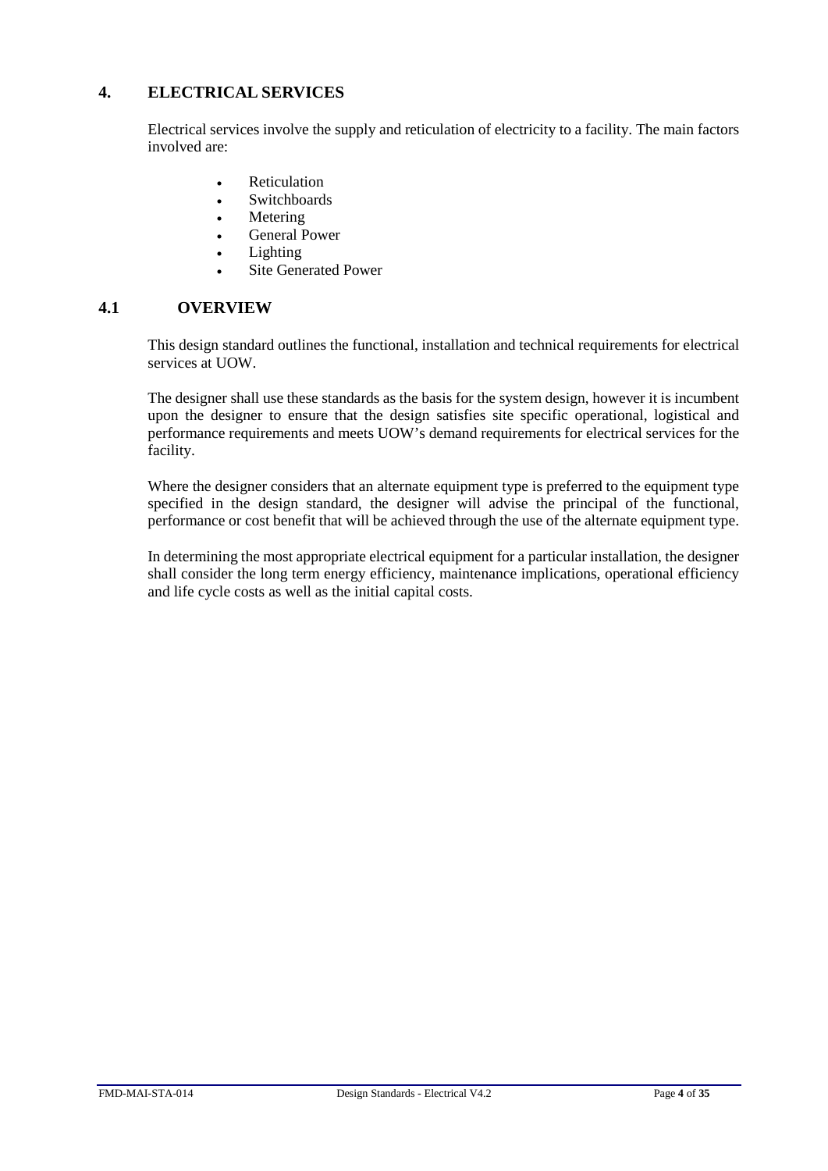## <span id="page-3-0"></span>**4. ELECTRICAL SERVICES**

Electrical services involve the supply and reticulation of electricity to a facility. The main factors involved are:

- **Reticulation**
- Switchboards
- **Metering**
- General Power
- **Lighting**
- Site Generated Power

## <span id="page-3-1"></span>**4.1 OVERVIEW**

This design standard outlines the functional, installation and technical requirements for electrical services at UOW.

The designer shall use these standards as the basis for the system design, however it is incumbent upon the designer to ensure that the design satisfies site specific operational, logistical and performance requirements and meets UOW's demand requirements for electrical services for the facility.

Where the designer considers that an alternate equipment type is preferred to the equipment type specified in the design standard, the designer will advise the principal of the functional, performance or cost benefit that will be achieved through the use of the alternate equipment type.

In determining the most appropriate electrical equipment for a particular installation, the designer shall consider the long term energy efficiency, maintenance implications, operational efficiency and life cycle costs as well as the initial capital costs.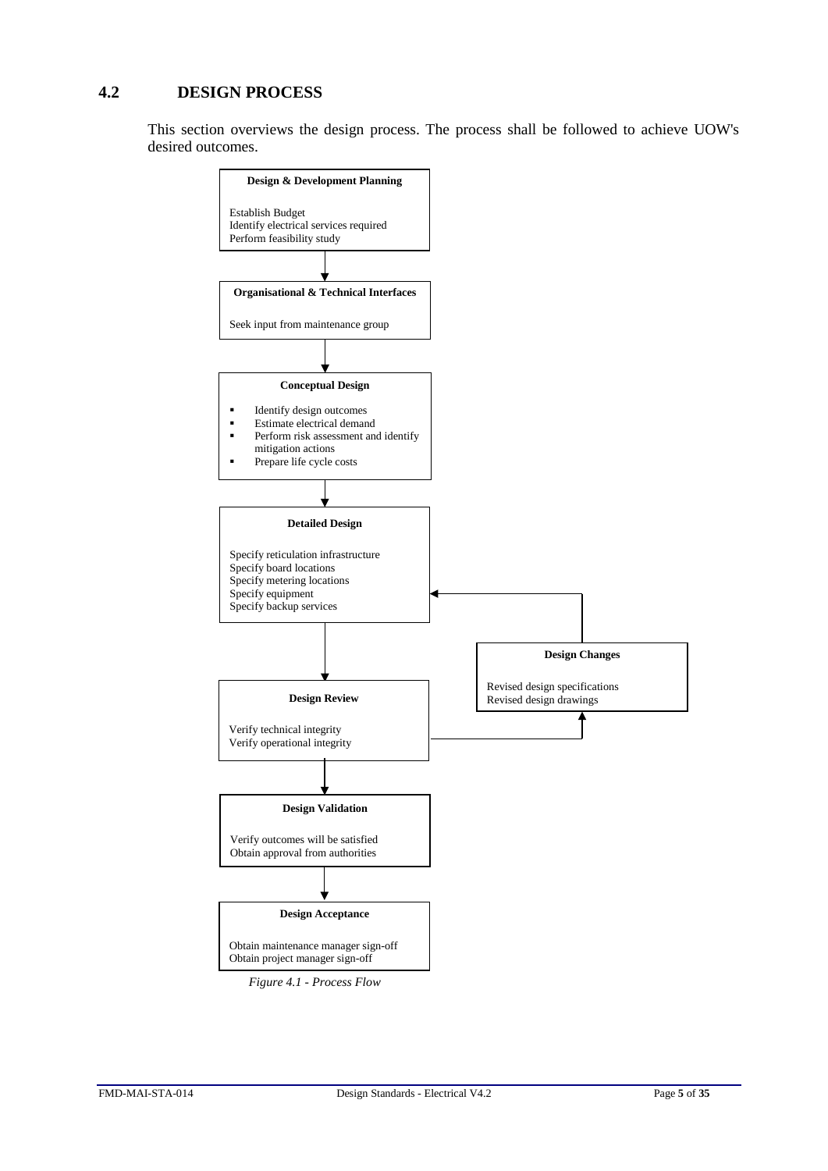## <span id="page-4-0"></span>**4.2 DESIGN PROCESS**

This section overviews the design process. The process shall be followed to achieve UOW's desired outcomes.

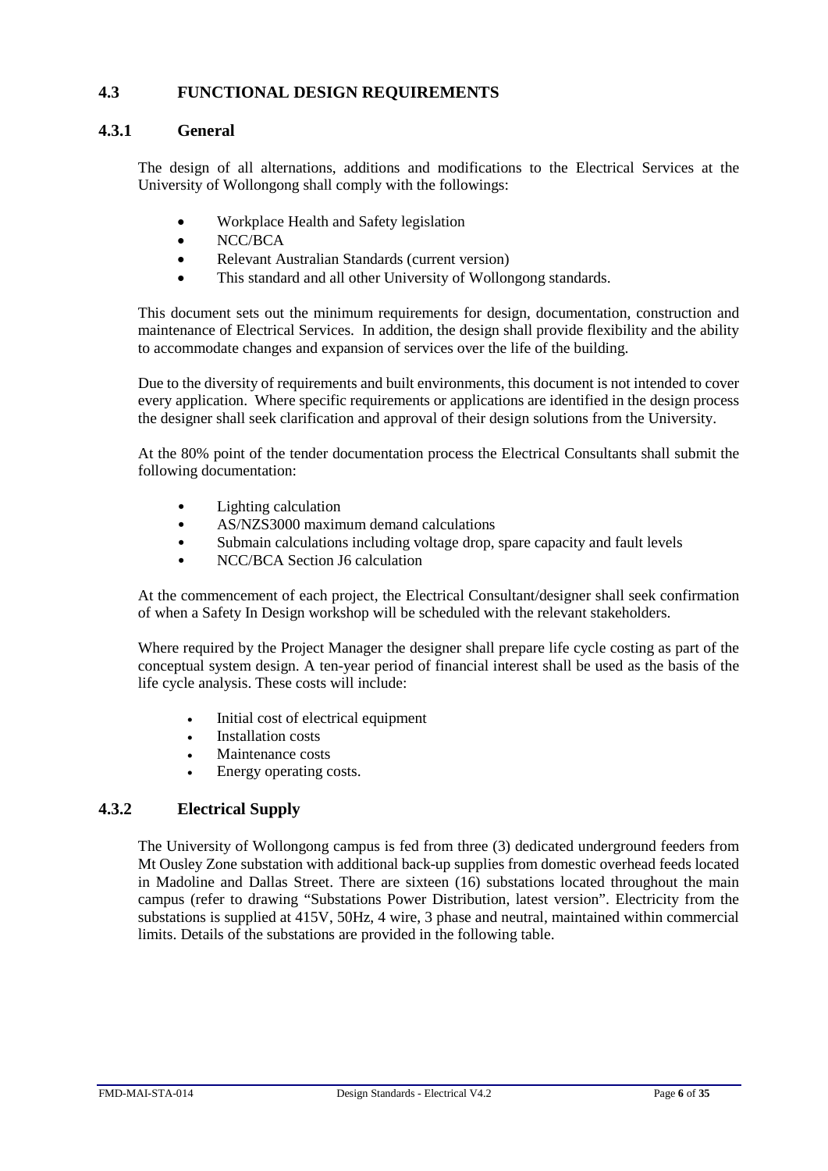## <span id="page-5-0"></span>**4.3 FUNCTIONAL DESIGN REQUIREMENTS**

## <span id="page-5-1"></span>**4.3.1 General**

The design of all alternations, additions and modifications to the Electrical Services at the University of Wollongong shall comply with the followings:

- Workplace Health and Safety legislation
- NCC/BCA
- Relevant Australian Standards (current version)
- This standard and all other University of Wollongong standards.

This document sets out the minimum requirements for design, documentation, construction and maintenance of Electrical Services. In addition, the design shall provide flexibility and the ability to accommodate changes and expansion of services over the life of the building.

Due to the diversity of requirements and built environments, this document is not intended to cover every application. Where specific requirements or applications are identified in the design process the designer shall seek clarification and approval of their design solutions from the University.

At the 80% point of the tender documentation process the Electrical Consultants shall submit the following documentation:

- Lighting calculation
- AS/NZS3000 maximum demand calculations
- Submain calculations including voltage drop, spare capacity and fault levels
- NCC/BCA Section J6 calculation

At the commencement of each project, the Electrical Consultant/designer shall seek confirmation of when a Safety In Design workshop will be scheduled with the relevant stakeholders.

Where required by the Project Manager the designer shall prepare life cycle costing as part of the conceptual system design. A ten-year period of financial interest shall be used as the basis of the life cycle analysis. These costs will include:

- Initial cost of electrical equipment
- Installation costs
- Maintenance costs
- Energy operating costs.

## <span id="page-5-2"></span>**4.3.2 Electrical Supply**

The University of Wollongong campus is fed from three (3) dedicated underground feeders from Mt Ousley Zone substation with additional back-up supplies from domestic overhead feeds located in Madoline and Dallas Street. There are sixteen (16) substations located throughout the main campus (refer to drawing "Substations Power Distribution, latest version". Electricity from the substations is supplied at 415V, 50Hz, 4 wire, 3 phase and neutral, maintained within commercial limits. Details of the substations are provided in the following table.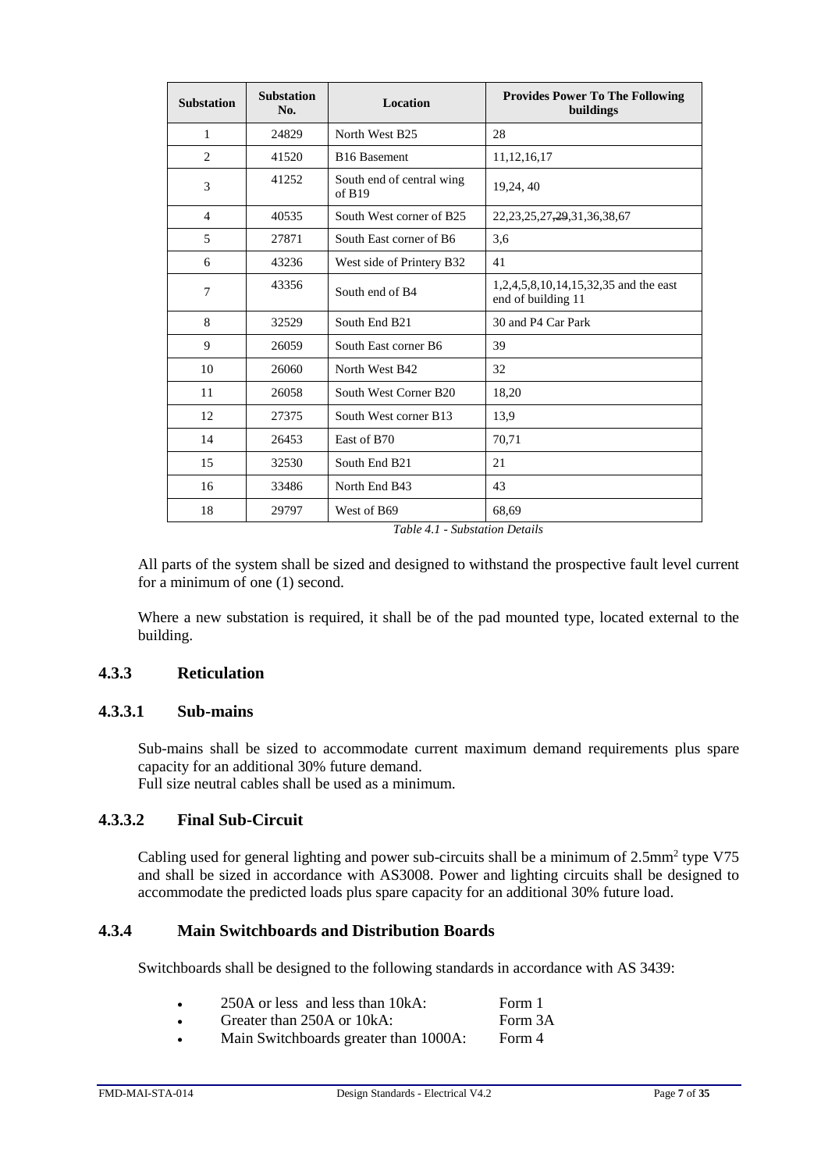| <b>Substation</b> | <b>Substation</b><br>No. | Location                            | <b>Provides Power To The Following</b><br>buildings         |
|-------------------|--------------------------|-------------------------------------|-------------------------------------------------------------|
| 1                 | 24829                    | North West B25                      | 28                                                          |
| 2                 | 41520                    | <b>B16</b> Basement                 | 11, 12, 16, 17                                              |
| 3                 | 41252                    | South end of central wing<br>of B19 | 19,24, 40                                                   |
| 4                 | 40535                    | South West corner of B25            | 22, 23, 25, 27, 29, 31, 36, 38, 67                          |
| 5                 | 27871                    | South East corner of B6             | 3,6                                                         |
| 6                 | 43236                    | West side of Printery B32           | 41                                                          |
| 7                 | 43356                    | South end of B4                     | 1,2,4,5,8,10,14,15,32,35 and the east<br>end of building 11 |
| 8                 | 32529                    | South End B <sub>21</sub>           | 30 and P4 Car Park                                          |
| 9                 | 26059                    | South East corner B6                | 39                                                          |
| 10                | 26060                    | North West B42                      | 32                                                          |
| 11                | 26058                    | South West Corner B20               | 18,20                                                       |
| 12                | 27375                    | South West corner B13               | 13,9                                                        |
| 14                | 26453                    | East of B70                         | 70,71                                                       |
| 15                | 32530                    | South End B21                       | 21                                                          |
| 16                | 33486                    | North End B43                       | 43                                                          |
| 18                | 29797                    | West of B69                         | 68,69                                                       |

*Table 4.1 - Substation Details*

All parts of the system shall be sized and designed to withstand the prospective fault level current for a minimum of one (1) second.

Where a new substation is required, it shall be of the pad mounted type, located external to the building.

## <span id="page-6-0"></span>**4.3.3 Reticulation**

## **4.3.3.1 Sub-mains**

Sub-mains shall be sized to accommodate current maximum demand requirements plus spare capacity for an additional 30% future demand.

Full size neutral cables shall be used as a minimum.

## **4.3.3.2 Final Sub-Circuit**

Cabling used for general lighting and power sub-circuits shall be a minimum of 2.5mm<sup>2</sup> type V75 and shall be sized in accordance with AS3008. Power and lighting circuits shall be designed to accommodate the predicted loads plus spare capacity for an additional 30% future load.

#### <span id="page-6-1"></span>**4.3.4 Main Switchboards and Distribution Boards**

Switchboards shall be designed to the following standards in accordance with AS 3439:

| 250A or less and less than 10kA: |  | Form 1 |
|----------------------------------|--|--------|
|----------------------------------|--|--------|

- Greater than 250A or 10kA: Form 3A
- Main Switchboards greater than 1000A: Form 4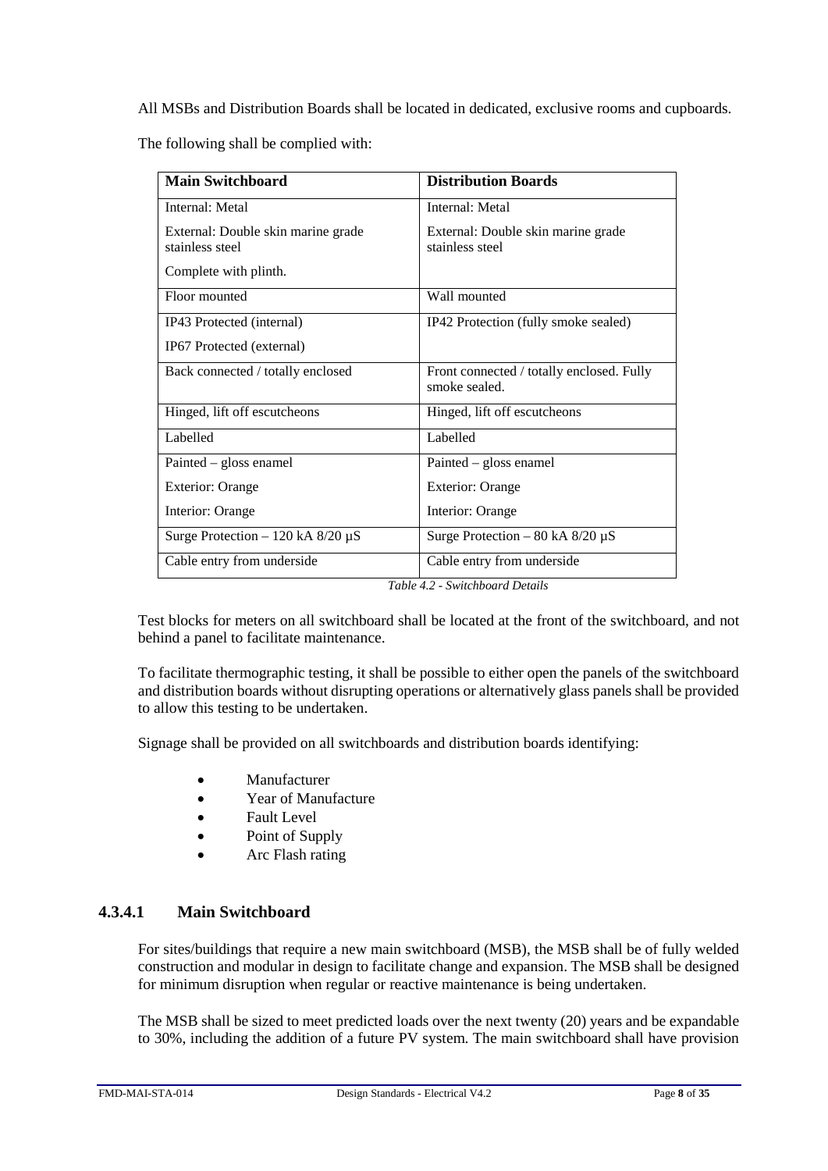All MSBs and Distribution Boards shall be located in dedicated, exclusive rooms and cupboards.

The following shall be complied with:

| <b>Main Switchboard</b>                               | <b>Distribution Boards</b>                                 |
|-------------------------------------------------------|------------------------------------------------------------|
| Internal: Metal                                       | Internal: Metal                                            |
| External: Double skin marine grade<br>stainless steel | External: Double skin marine grade<br>stainless steel      |
| Complete with plinth.                                 |                                                            |
| Floor mounted                                         | Wall mounted                                               |
| IP43 Protected (internal)                             | IP42 Protection (fully smoke sealed)                       |
| IP67 Protected (external)                             |                                                            |
| Back connected / totally enclosed                     | Front connected / totally enclosed. Fully<br>smoke sealed. |
| Hinged, lift off escutcheons                          | Hinged, lift off escutcheons                               |
| Labelled                                              | Labelled                                                   |
| Painted – gloss enamel                                | Painted – gloss enamel                                     |
| <b>Exterior: Orange</b>                               | <b>Exterior: Orange</b>                                    |
| Interior: Orange                                      | Interior: Orange                                           |
| Surge Protection $-120$ kA 8/20 $\mu$ S               | Surge Protection – 80 kA $8/20 \mu S$                      |
| Cable entry from underside                            | Cable entry from underside                                 |

*Table 4.2 - Switchboard Details*

Test blocks for meters on all switchboard shall be located at the front of the switchboard, and not behind a panel to facilitate maintenance.

To facilitate thermographic testing, it shall be possible to either open the panels of the switchboard and distribution boards without disrupting operations or alternatively glass panels shall be provided to allow this testing to be undertaken.

Signage shall be provided on all switchboards and distribution boards identifying:

- Manufacturer
- Year of Manufacture
- Fault Level
- Point of Supply
- Arc Flash rating

## **4.3.4.1 Main Switchboard**

For sites/buildings that require a new main switchboard (MSB), the MSB shall be of fully welded construction and modular in design to facilitate change and expansion. The MSB shall be designed for minimum disruption when regular or reactive maintenance is being undertaken.

The MSB shall be sized to meet predicted loads over the next twenty (20) years and be expandable to 30%, including the addition of a future PV system. The main switchboard shall have provision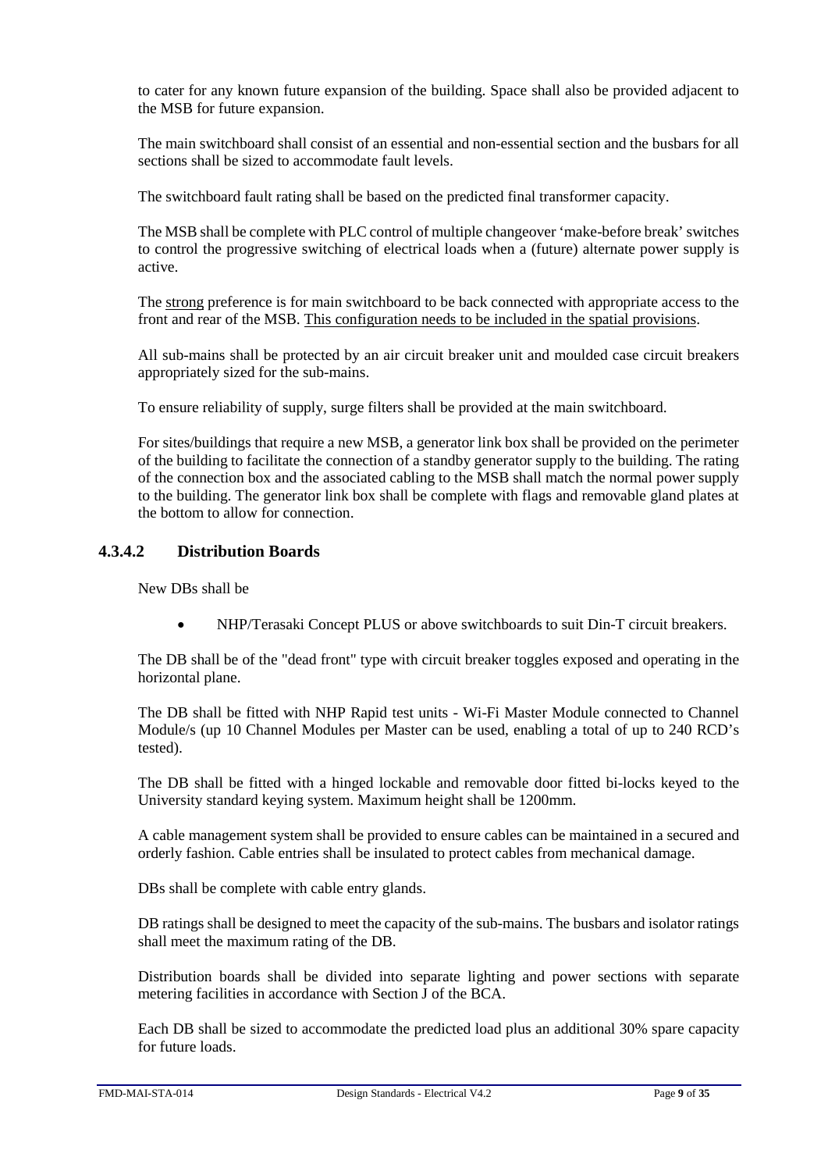to cater for any known future expansion of the building. Space shall also be provided adjacent to the MSB for future expansion.

The main switchboard shall consist of an essential and non-essential section and the busbars for all sections shall be sized to accommodate fault levels.

The switchboard fault rating shall be based on the predicted final transformer capacity.

The MSB shall be complete with PLC control of multiple changeover 'make-before break' switches to control the progressive switching of electrical loads when a (future) alternate power supply is active.

The strong preference is for main switchboard to be back connected with appropriate access to the front and rear of the MSB. This configuration needs to be included in the spatial provisions.

All sub-mains shall be protected by an air circuit breaker unit and moulded case circuit breakers appropriately sized for the sub-mains.

To ensure reliability of supply, surge filters shall be provided at the main switchboard.

For sites/buildings that require a new MSB, a generator link box shall be provided on the perimeter of the building to facilitate the connection of a standby generator supply to the building. The rating of the connection box and the associated cabling to the MSB shall match the normal power supply to the building. The generator link box shall be complete with flags and removable gland plates at the bottom to allow for connection.

## **4.3.4.2 Distribution Boards**

New DBs shall be

• NHP/Terasaki Concept PLUS or above switchboards to suit Din-T circuit breakers.

The DB shall be of the "dead front" type with circuit breaker toggles exposed and operating in the horizontal plane.

The DB shall be fitted with NHP Rapid test units - Wi-Fi Master Module connected to Channel Module/s (up 10 Channel Modules per Master can be used, enabling a total of up to 240 RCD's tested).

The DB shall be fitted with a hinged lockable and removable door fitted bi-locks keyed to the University standard keying system. Maximum height shall be 1200mm.

A cable management system shall be provided to ensure cables can be maintained in a secured and orderly fashion. Cable entries shall be insulated to protect cables from mechanical damage.

DBs shall be complete with cable entry glands.

DB ratings shall be designed to meet the capacity of the sub-mains. The busbars and isolator ratings shall meet the maximum rating of the DB.

Distribution boards shall be divided into separate lighting and power sections with separate metering facilities in accordance with Section J of the BCA.

Each DB shall be sized to accommodate the predicted load plus an additional 30% spare capacity for future loads.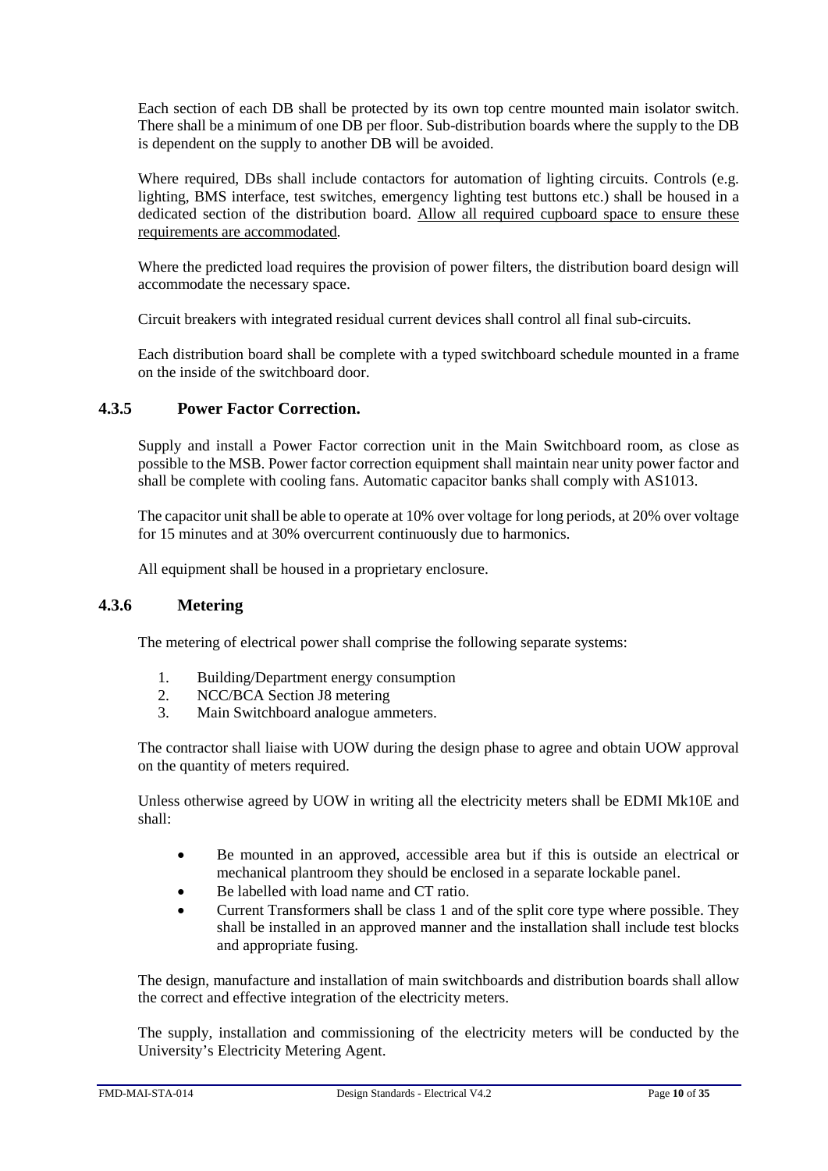Each section of each DB shall be protected by its own top centre mounted main isolator switch. There shall be a minimum of one DB per floor. Sub-distribution boards where the supply to the DB is dependent on the supply to another DB will be avoided.

Where required, DBs shall include contactors for automation of lighting circuits. Controls (e.g. lighting, BMS interface, test switches, emergency lighting test buttons etc.) shall be housed in a dedicated section of the distribution board. Allow all required cupboard space to ensure these requirements are accommodated.

Where the predicted load requires the provision of power filters, the distribution board design will accommodate the necessary space.

Circuit breakers with integrated residual current devices shall control all final sub-circuits.

Each distribution board shall be complete with a typed switchboard schedule mounted in a frame on the inside of the switchboard door.

## <span id="page-9-0"></span>**4.3.5 Power Factor Correction.**

Supply and install a Power Factor correction unit in the Main Switchboard room, as close as possible to the MSB. Power factor correction equipment shall maintain near unity power factor and shall be complete with cooling fans. Automatic capacitor banks shall comply with AS1013.

The capacitor unit shall be able to operate at 10% over voltage for long periods, at 20% over voltage for 15 minutes and at 30% overcurrent continuously due to harmonics.

All equipment shall be housed in a proprietary enclosure.

## <span id="page-9-1"></span>**4.3.6 Metering**

The metering of electrical power shall comprise the following separate systems:

- 1. Building/Department energy consumption
- 2. NCC/BCA Section J8 metering
- 3. Main Switchboard analogue ammeters.

The contractor shall liaise with UOW during the design phase to agree and obtain UOW approval on the quantity of meters required.

Unless otherwise agreed by UOW in writing all the electricity meters shall be EDMI Mk10E and shall:

- Be mounted in an approved, accessible area but if this is outside an electrical or mechanical plantroom they should be enclosed in a separate lockable panel.
- Be labelled with load name and CT ratio.
- Current Transformers shall be class 1 and of the split core type where possible. They shall be installed in an approved manner and the installation shall include test blocks and appropriate fusing.

The design, manufacture and installation of main switchboards and distribution boards shall allow the correct and effective integration of the electricity meters.

The supply, installation and commissioning of the electricity meters will be conducted by the University's Electricity Metering Agent.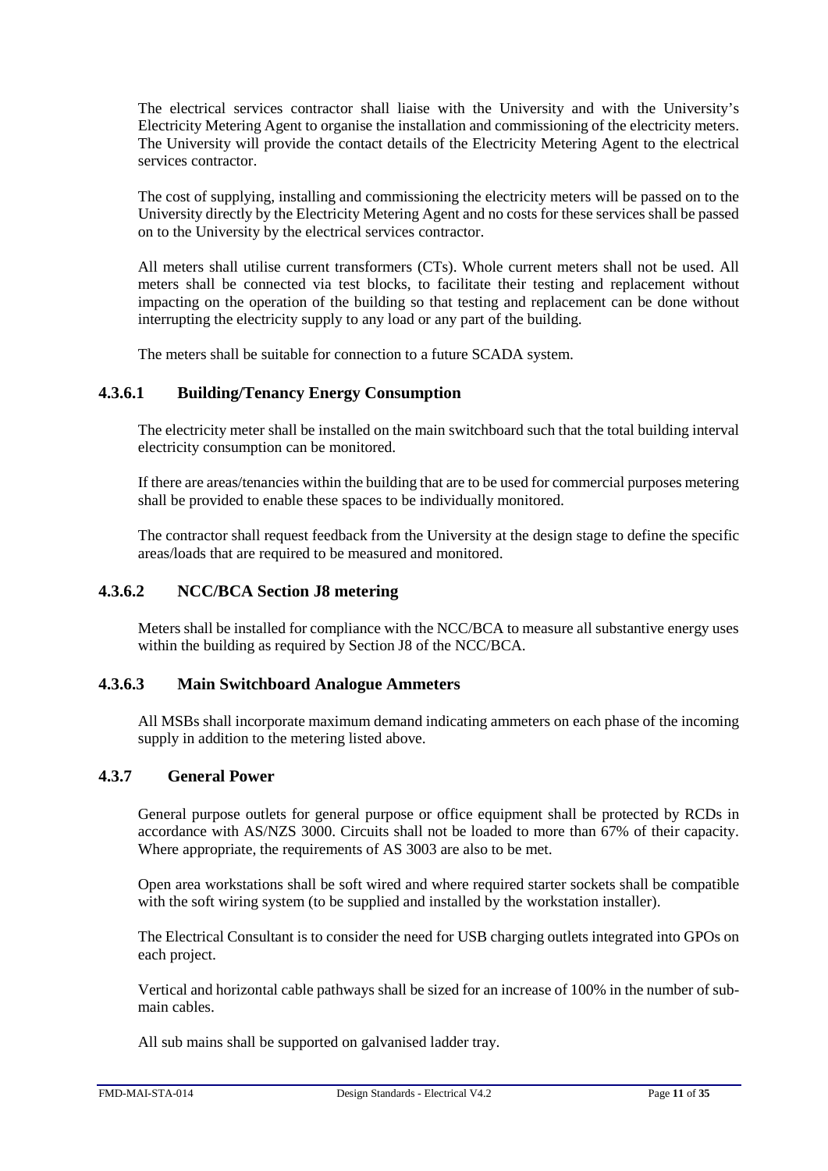The electrical services contractor shall liaise with the University and with the University's Electricity Metering Agent to organise the installation and commissioning of the electricity meters. The University will provide the contact details of the Electricity Metering Agent to the electrical services contractor.

The cost of supplying, installing and commissioning the electricity meters will be passed on to the University directly by the Electricity Metering Agent and no costs for these services shall be passed on to the University by the electrical services contractor.

All meters shall utilise current transformers (CTs). Whole current meters shall not be used. All meters shall be connected via test blocks, to facilitate their testing and replacement without impacting on the operation of the building so that testing and replacement can be done without interrupting the electricity supply to any load or any part of the building.

The meters shall be suitable for connection to a future SCADA system.

## **4.3.6.1 Building/Tenancy Energy Consumption**

The electricity meter shall be installed on the main switchboard such that the total building interval electricity consumption can be monitored.

If there are areas/tenancies within the building that are to be used for commercial purposes metering shall be provided to enable these spaces to be individually monitored.

The contractor shall request feedback from the University at the design stage to define the specific areas/loads that are required to be measured and monitored.

## **4.3.6.2 NCC/BCA Section J8 metering**

Meters shall be installed for compliance with the NCC/BCA to measure all substantive energy uses within the building as required by Section J8 of the NCC/BCA.

## **4.3.6.3 Main Switchboard Analogue Ammeters**

All MSBs shall incorporate maximum demand indicating ammeters on each phase of the incoming supply in addition to the metering listed above.

## <span id="page-10-0"></span>**4.3.7 General Power**

General purpose outlets for general purpose or office equipment shall be protected by RCDs in accordance with AS/NZS 3000. Circuits shall not be loaded to more than 67% of their capacity. Where appropriate, the requirements of AS 3003 are also to be met.

Open area workstations shall be soft wired and where required starter sockets shall be compatible with the soft wiring system (to be supplied and installed by the workstation installer).

The Electrical Consultant is to consider the need for USB charging outlets integrated into GPOs on each project.

Vertical and horizontal cable pathways shall be sized for an increase of 100% in the number of submain cables.

All sub mains shall be supported on galvanised ladder tray.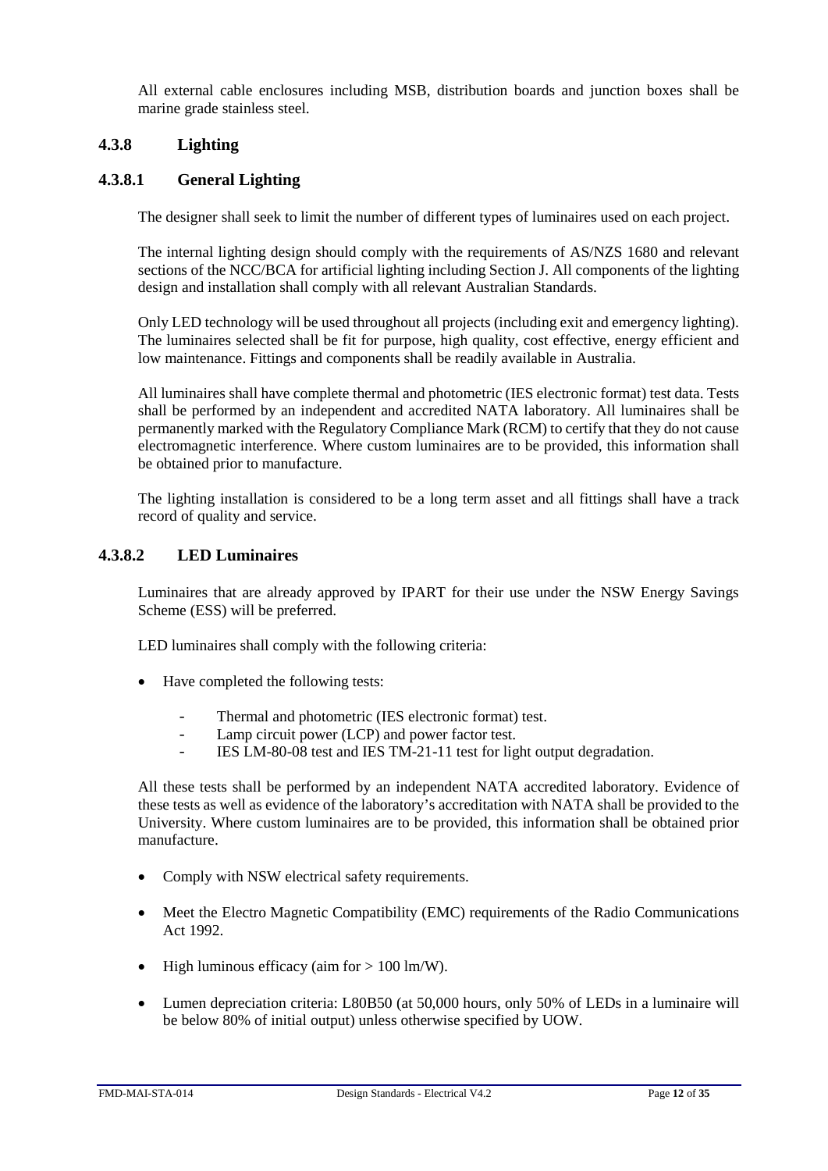All external cable enclosures including MSB, distribution boards and junction boxes shall be marine grade stainless steel.

## <span id="page-11-0"></span>**4.3.8 Lighting**

## **4.3.8.1 General Lighting**

The designer shall seek to limit the number of different types of luminaires used on each project.

The internal lighting design should comply with the requirements of AS/NZS 1680 and relevant sections of the NCC/BCA for artificial lighting including Section J. All components of the lighting design and installation shall comply with all relevant Australian Standards.

Only LED technology will be used throughout all projects (including exit and emergency lighting). The luminaires selected shall be fit for purpose, high quality, cost effective, energy efficient and low maintenance. Fittings and components shall be readily available in Australia.

All luminaires shall have complete thermal and photometric (IES electronic format) test data. Tests shall be performed by an independent and accredited NATA laboratory. All luminaires shall be permanently marked with the Regulatory Compliance Mark (RCM) to certify that they do not cause electromagnetic interference. Where custom luminaires are to be provided, this information shall be obtained prior to manufacture.

The lighting installation is considered to be a long term asset and all fittings shall have a track record of quality and service.

#### **4.3.8.2 LED Luminaires**

Luminaires that are already approved by IPART for their use under the NSW Energy Savings Scheme (ESS) will be preferred.

LED luminaires shall comply with the following criteria:

- Have completed the following tests:
	- Thermal and photometric (IES electronic format) test.
	- Lamp circuit power (LCP) and power factor test.
	- IES LM-80-08 test and IES TM-21-11 test for light output degradation.

All these tests shall be performed by an independent NATA accredited laboratory. Evidence of these tests as well as evidence of the laboratory's accreditation with NATA shall be provided to the University. Where custom luminaires are to be provided, this information shall be obtained prior manufacture.

- Comply with NSW electrical safety requirements.
- Meet the Electro Magnetic Compatibility (EMC) requirements of the Radio Communications Act 1992.
- High luminous efficacy (aim for  $> 100 \text{ lm/W}$ ).
- Lumen depreciation criteria: L80B50 (at 50,000 hours, only 50% of LEDs in a luminaire will be below 80% of initial output) unless otherwise specified by UOW.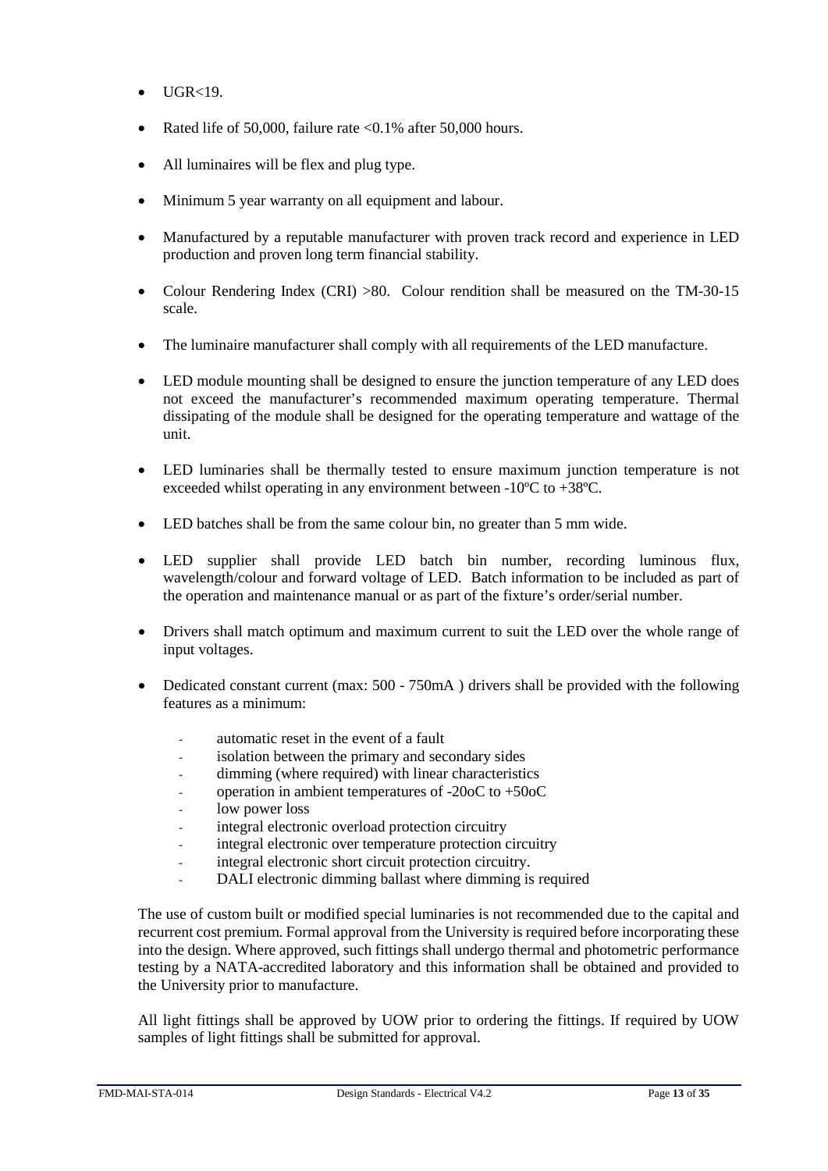- $\bullet$  UGR<19
- Rated life of 50,000, failure rate  $\langle 0.1\%$  after 50,000 hours.
- All luminaires will be flex and plug type.
- Minimum 5 year warranty on all equipment and labour.
- Manufactured by a reputable manufacturer with proven track record and experience in LED production and proven long term financial stability.
- Colour Rendering Index (CRI) >80. Colour rendition shall be measured on the TM-30-15 scale.
- The luminaire manufacturer shall comply with all requirements of the LED manufacture.
- LED module mounting shall be designed to ensure the junction temperature of any LED does not exceed the manufacturer's recommended maximum operating temperature. Thermal dissipating of the module shall be designed for the operating temperature and wattage of the unit.
- LED luminaries shall be thermally tested to ensure maximum junction temperature is not exceeded whilst operating in any environment between -10ºC to +38ºC.
- LED batches shall be from the same colour bin, no greater than 5 mm wide.
- LED supplier shall provide LED batch bin number, recording luminous flux, wavelength/colour and forward voltage of LED. Batch information to be included as part of the operation and maintenance manual or as part of the fixture's order/serial number.
- Drivers shall match optimum and maximum current to suit the LED over the whole range of input voltages.
- Dedicated constant current (max: 500 750mA) drivers shall be provided with the following features as a minimum:
	- automatic reset in the event of a fault
	- isolation between the primary and secondary sides
	- dimming (where required) with linear characteristics
	- operation in ambient temperatures of -20oC to +50oC
	- low power loss
	- integral electronic overload protection circuitry
	- integral electronic over temperature protection circuitry
	- integral electronic short circuit protection circuitry.
	- DALI electronic dimming ballast where dimming is required

The use of custom built or modified special luminaries is not recommended due to the capital and recurrent cost premium. Formal approval from the University is required before incorporating these into the design. Where approved, such fittings shall undergo thermal and photometric performance testing by a NATA-accredited laboratory and this information shall be obtained and provided to the University prior to manufacture.

All light fittings shall be approved by UOW prior to ordering the fittings. If required by UOW samples of light fittings shall be submitted for approval.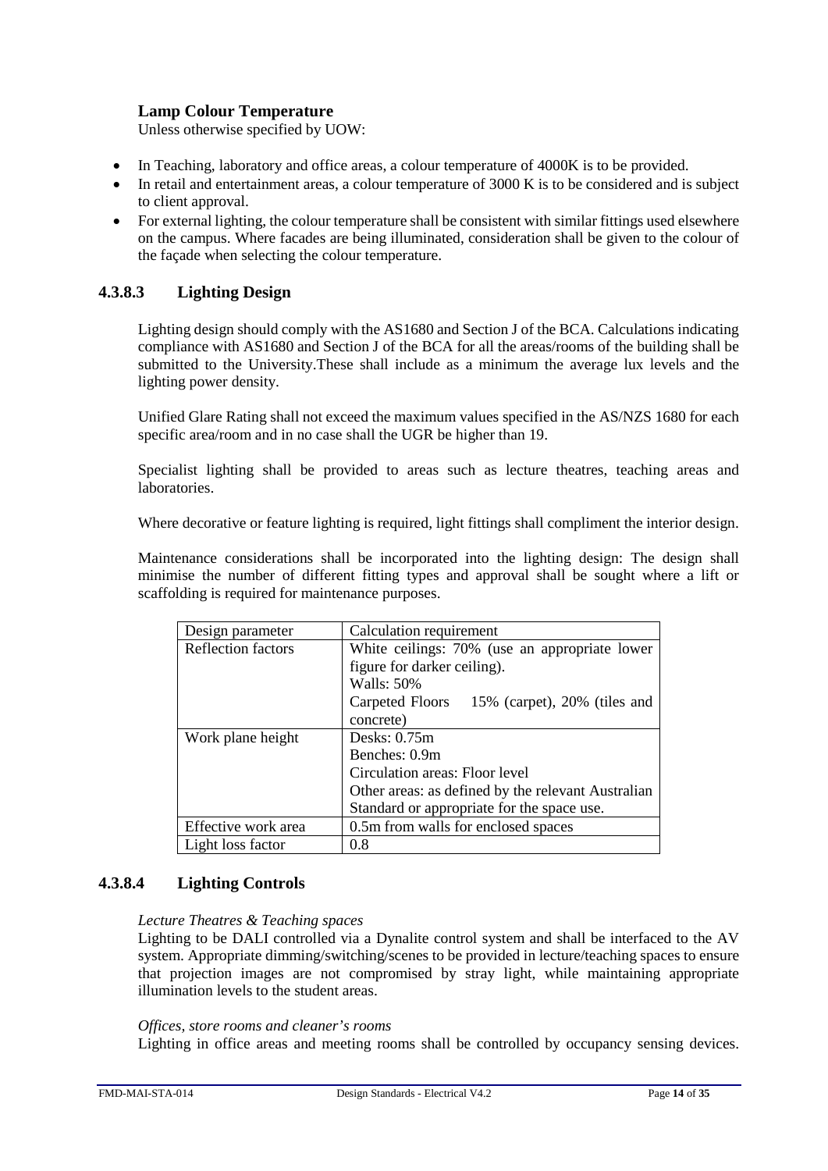## **Lamp Colour Temperature**

Unless otherwise specified by UOW:

- In Teaching, laboratory and office areas, a colour temperature of 4000K is to be provided.
- In retail and entertainment areas, a colour temperature of 3000 K is to be considered and is subject to client approval.
- For external lighting, the colour temperature shall be consistent with similar fittings used elsewhere on the campus. Where facades are being illuminated, consideration shall be given to the colour of the façade when selecting the colour temperature.

## **4.3.8.3 Lighting Design**

Lighting design should comply with the AS1680 and Section J of the BCA. Calculations indicating compliance with AS1680 and Section J of the BCA for all the areas/rooms of the building shall be submitted to the University.These shall include as a minimum the average lux levels and the lighting power density.

Unified Glare Rating shall not exceed the maximum values specified in the AS/NZS 1680 for each specific area/room and in no case shall the UGR be higher than 19.

Specialist lighting shall be provided to areas such as lecture theatres, teaching areas and laboratories.

Where decorative or feature lighting is required, light fittings shall compliment the interior design.

Maintenance considerations shall be incorporated into the lighting design: The design shall minimise the number of different fitting types and approval shall be sought where a lift or scaffolding is required for maintenance purposes.

| Design parameter    | Calculation requirement                            |  |  |
|---------------------|----------------------------------------------------|--|--|
| Reflection factors  | White ceilings: 70% (use an appropriate lower      |  |  |
|                     | figure for darker ceiling).                        |  |  |
|                     | Walls: 50%                                         |  |  |
|                     | 15% (carpet), 20% (tiles and<br>Carpeted Floors    |  |  |
|                     | concrete)                                          |  |  |
| Work plane height   | Desks: $0.75m$                                     |  |  |
|                     | Benches: 0.9m                                      |  |  |
|                     | Circulation areas: Floor level                     |  |  |
|                     | Other areas: as defined by the relevant Australian |  |  |
|                     | Standard or appropriate for the space use.         |  |  |
| Effective work area | 0.5m from walls for enclosed spaces                |  |  |
| Light loss factor   | 0.8                                                |  |  |

## **4.3.8.4 Lighting Controls**

#### *Lecture Theatres & Teaching spaces*

Lighting to be DALI controlled via a Dynalite control system and shall be interfaced to the AV system. Appropriate dimming/switching/scenes to be provided in lecture/teaching spaces to ensure that projection images are not compromised by stray light, while maintaining appropriate illumination levels to the student areas.

#### *Offices, store rooms and cleaner's rooms*

Lighting in office areas and meeting rooms shall be controlled by occupancy sensing devices.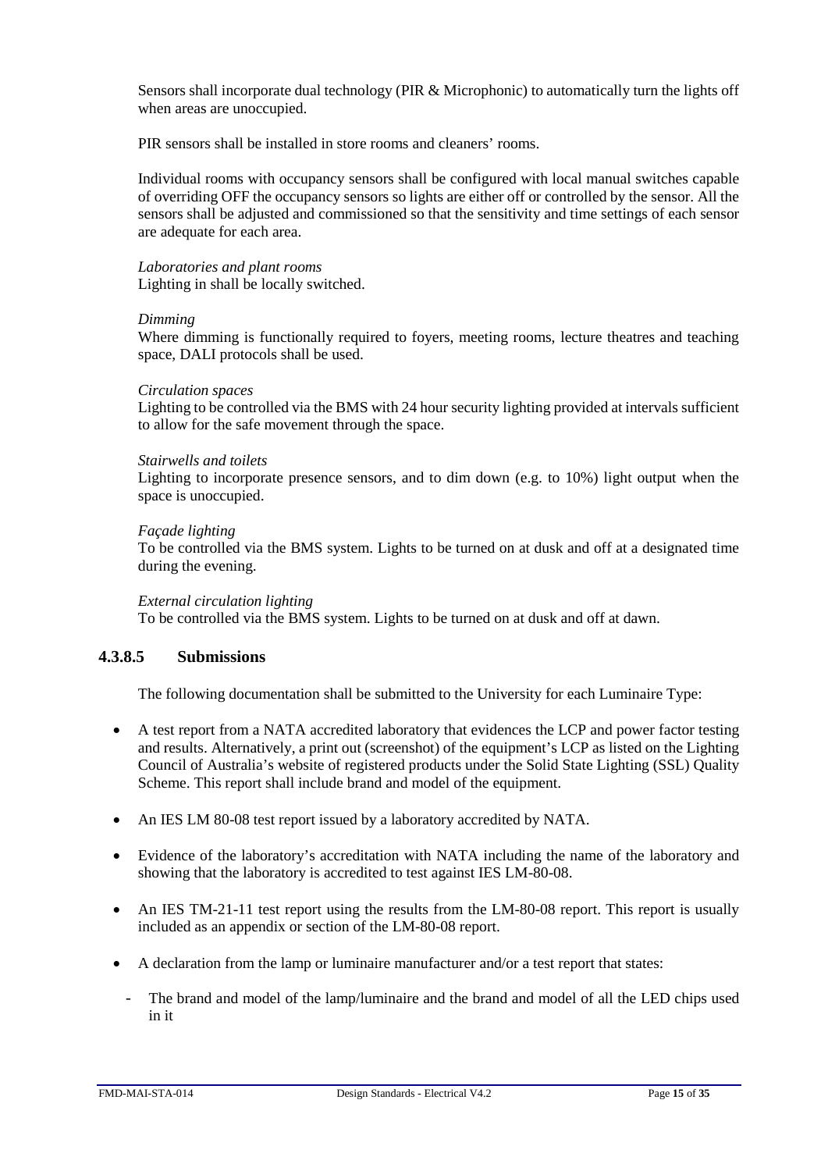Sensors shall incorporate dual technology (PIR & Microphonic) to automatically turn the lights off when areas are unoccupied.

PIR sensors shall be installed in store rooms and cleaners' rooms.

Individual rooms with occupancy sensors shall be configured with local manual switches capable of overriding OFF the occupancy sensors so lights are either off or controlled by the sensor. All the sensors shall be adjusted and commissioned so that the sensitivity and time settings of each sensor are adequate for each area.

*Laboratories and plant rooms* Lighting in shall be locally switched.

#### *Dimming*

Where dimming is functionally required to foyers, meeting rooms, lecture theatres and teaching space, DALI protocols shall be used.

#### *Circulation spaces*

Lighting to be controlled via the BMS with 24 hour security lighting provided at intervals sufficient to allow for the safe movement through the space.

#### *Stairwells and toilets*

Lighting to incorporate presence sensors, and to dim down (e.g. to 10%) light output when the space is unoccupied.

#### *Façade lighting*

To be controlled via the BMS system. Lights to be turned on at dusk and off at a designated time during the evening.

#### *External circulation lighting*

To be controlled via the BMS system. Lights to be turned on at dusk and off at dawn.

## **4.3.8.5 Submissions**

The following documentation shall be submitted to the University for each Luminaire Type:

- A test report from a NATA accredited laboratory that evidences the LCP and power factor testing and results. Alternatively, a print out (screenshot) of the equipment's LCP as listed on the Lighting Council of Australia's website of registered products under the Solid State Lighting (SSL) Quality Scheme. This report shall include brand and model of the equipment.
- An IES LM 80-08 test report issued by a laboratory accredited by NATA.
- Evidence of the laboratory's accreditation with NATA including the name of the laboratory and showing that the laboratory is accredited to test against IES LM-80-08.
- An IES TM-21-11 test report using the results from the LM-80-08 report. This report is usually included as an appendix or section of the LM-80-08 report.
- A declaration from the lamp or luminaire manufacturer and/or a test report that states:
	- The brand and model of the lamp/luminaire and the brand and model of all the LED chips used in it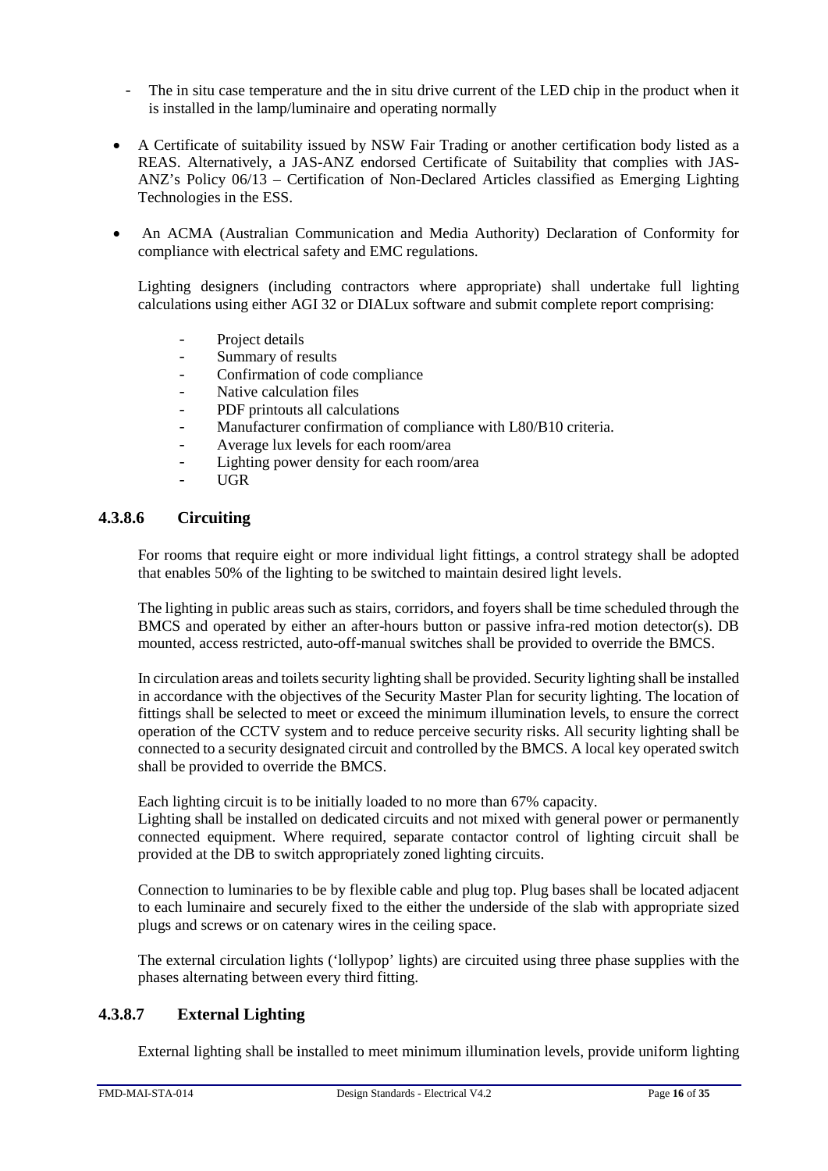- The in situ case temperature and the in situ drive current of the LED chip in the product when it is installed in the lamp/luminaire and operating normally
- A Certificate of suitability issued by NSW Fair Trading or another certification body listed as a REAS. Alternatively, a JAS-ANZ endorsed Certificate of Suitability that complies with JAS-ANZ's Policy 06/13 – Certification of Non-Declared Articles classified as Emerging Lighting Technologies in the ESS.
- An ACMA (Australian Communication and Media Authority) Declaration of Conformity for compliance with electrical safety and EMC regulations.

Lighting designers (including contractors where appropriate) shall undertake full lighting calculations using either AGI 32 or DIALux software and submit complete report comprising:

- Project details<br>- Summary of re
- Summary of results
- Confirmation of code compliance<br>- Native calculation files
- Native calculation files
- PDF printouts all calculations<br>- Manufacturer confirmation of
- Manufacturer confirmation of compliance with L80/B10 criteria.
- Average lux levels for each room/area
- Lighting power density for each room/area
- UGR

## **4.3.8.6 Circuiting**

For rooms that require eight or more individual light fittings, a control strategy shall be adopted that enables 50% of the lighting to be switched to maintain desired light levels.

The lighting in public areas such as stairs, corridors, and foyers shall be time scheduled through the BMCS and operated by either an after-hours button or passive infra-red motion detector(s). DB mounted, access restricted, auto-off-manual switches shall be provided to override the BMCS.

In circulation areas and toilets security lighting shall be provided. Security lighting shall be installed in accordance with the objectives of the Security Master Plan for security lighting. The location of fittings shall be selected to meet or exceed the minimum illumination levels, to ensure the correct operation of the CCTV system and to reduce perceive security risks. All security lighting shall be connected to a security designated circuit and controlled by the BMCS. A local key operated switch shall be provided to override the BMCS.

Each lighting circuit is to be initially loaded to no more than 67% capacity.

Lighting shall be installed on dedicated circuits and not mixed with general power or permanently connected equipment. Where required, separate contactor control of lighting circuit shall be provided at the DB to switch appropriately zoned lighting circuits.

Connection to luminaries to be by flexible cable and plug top. Plug bases shall be located adjacent to each luminaire and securely fixed to the either the underside of the slab with appropriate sized plugs and screws or on catenary wires in the ceiling space.

The external circulation lights ('lollypop' lights) are circuited using three phase supplies with the phases alternating between every third fitting.

## **4.3.8.7 External Lighting**

External lighting shall be installed to meet minimum illumination levels, provide uniform lighting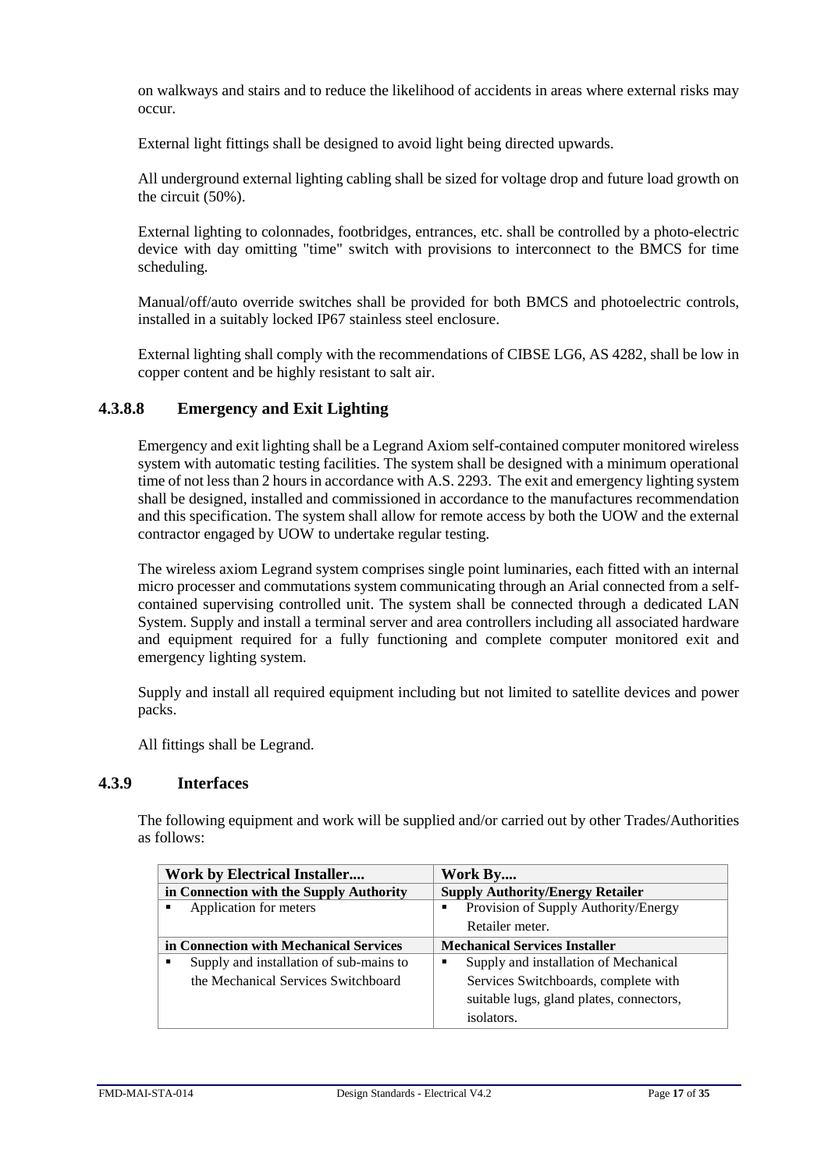on walkways and stairs and to reduce the likelihood of accidents in areas where external risks may occur.

External light fittings shall be designed to avoid light being directed upwards.

All underground external lighting cabling shall be sized for voltage drop and future load growth on the circuit (50%).

External lighting to colonnades, footbridges, entrances, etc. shall be controlled by a photo-electric device with day omitting "time" switch with provisions to interconnect to the BMCS for time scheduling.

Manual/off/auto override switches shall be provided for both BMCS and photoelectric controls, installed in a suitably locked IP67 stainless steel enclosure.

External lighting shall comply with the recommendations of CIBSE LG6, AS 4282, shall be low in copper content and be highly resistant to salt air.

## **4.3.8.8 Emergency and Exit Lighting**

Emergency and exit lighting shall be a Legrand Axiom self-contained computer monitored wireless system with automatic testing facilities. The system shall be designed with a minimum operational time of not less than 2 hours in accordance with A.S. 2293. The exit and emergency lighting system shall be designed, installed and commissioned in accordance to the manufactures recommendation and this specification. The system shall allow for remote access by both the UOW and the external contractor engaged by UOW to undertake regular testing.

The wireless axiom Legrand system comprises single point luminaries, each fitted with an internal micro processer and commutations system communicating through an Arial connected from a selfcontained supervising controlled unit. The system shall be connected through a dedicated LAN System. Supply and install a terminal server and area controllers including all associated hardware and equipment required for a fully functioning and complete computer monitored exit and emergency lighting system.

Supply and install all required equipment including but not limited to satellite devices and power packs.

All fittings shall be Legrand.

#### <span id="page-16-0"></span>**4.3.9 Interfaces**

The following equipment and work will be supplied and/or carried out by other Trades/Authorities as follows:

| <b>Work by Electrical Installer</b>     |                                         | Work By |                                          |
|-----------------------------------------|-----------------------------------------|---------|------------------------------------------|
| in Connection with the Supply Authority |                                         |         | <b>Supply Authority/Energy Retailer</b>  |
|                                         | Application for meters                  |         | Provision of Supply Authority/Energy     |
|                                         |                                         |         | Retailer meter.                          |
| in Connection with Mechanical Services  |                                         |         | <b>Mechanical Services Installer</b>     |
|                                         | Supply and installation of sub-mains to | ■       | Supply and installation of Mechanical    |
|                                         | the Mechanical Services Switchboard     |         | Services Switchboards, complete with     |
|                                         |                                         |         | suitable lugs, gland plates, connectors, |
|                                         |                                         |         | isolators.                               |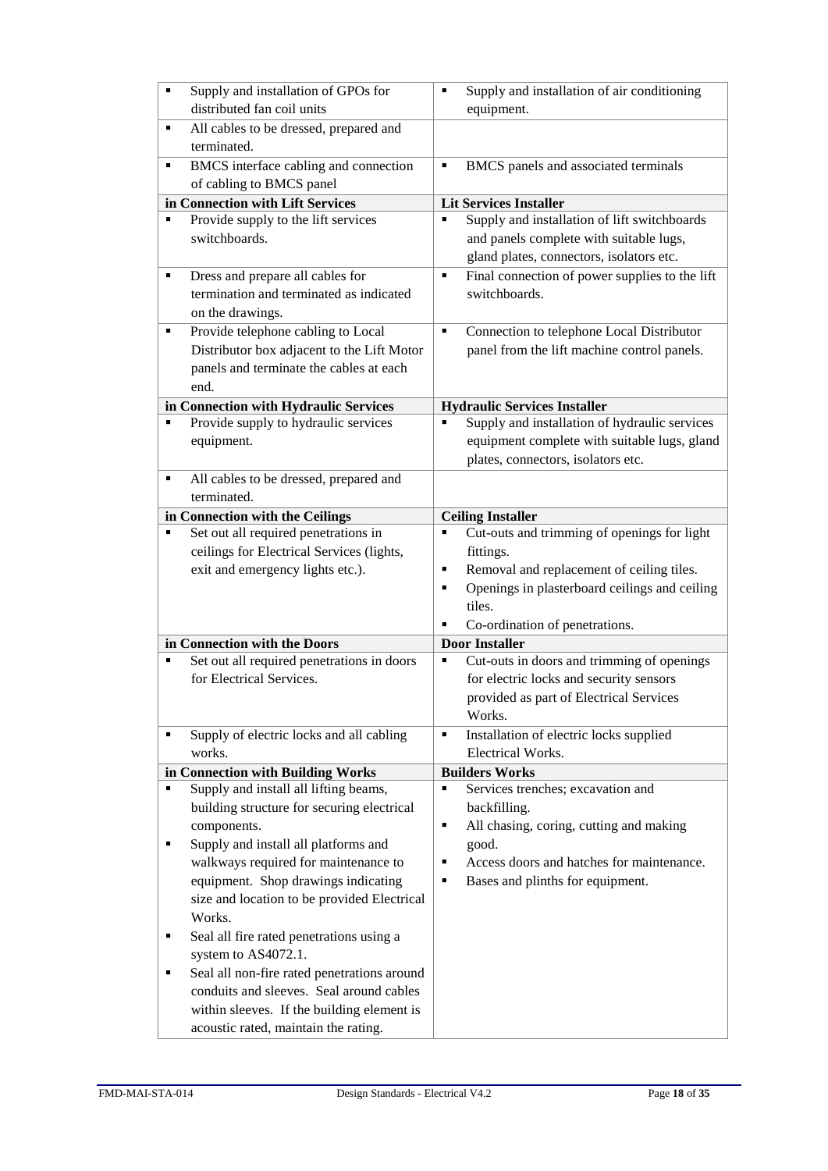| п | Supply and installation of GPOs for<br>distributed fan coil units | ٠ | Supply and installation of air conditioning<br>equipment. |
|---|-------------------------------------------------------------------|---|-----------------------------------------------------------|
|   |                                                                   |   |                                                           |
| ٠ | All cables to be dressed, prepared and<br>terminated.             |   |                                                           |
| ٠ | BMCS interface cabling and connection                             | ٠ | BMCS panels and associated terminals                      |
|   | of cabling to BMCS panel                                          |   |                                                           |
|   | in Connection with Lift Services                                  |   | <b>Lit Services Installer</b>                             |
|   | Provide supply to the lift services                               |   | Supply and installation of lift switchboards              |
|   | switchboards.                                                     |   | and panels complete with suitable lugs,                   |
|   |                                                                   |   | gland plates, connectors, isolators etc.                  |
| ٠ | Dress and prepare all cables for                                  | ٠ | Final connection of power supplies to the lift            |
|   | termination and terminated as indicated                           |   | switchboards.                                             |
|   | on the drawings.                                                  |   |                                                           |
| ٠ | Provide telephone cabling to Local                                | ٠ | Connection to telephone Local Distributor                 |
|   | Distributor box adjacent to the Lift Motor                        |   | panel from the lift machine control panels.               |
|   | panels and terminate the cables at each                           |   |                                                           |
|   | end.                                                              |   |                                                           |
|   |                                                                   |   |                                                           |
|   | in Connection with Hydraulic Services                             |   | <b>Hydraulic Services Installer</b>                       |
| ٠ | Provide supply to hydraulic services                              |   | Supply and installation of hydraulic services             |
|   | equipment.                                                        |   | equipment complete with suitable lugs, gland              |
|   |                                                                   |   | plates, connectors, isolators etc.                        |
| ٠ | All cables to be dressed, prepared and                            |   |                                                           |
|   | terminated.                                                       |   |                                                           |
|   | in Connection with the Ceilings                                   |   | <b>Ceiling Installer</b>                                  |
| ٠ | Set out all required penetrations in                              | Ξ | Cut-outs and trimming of openings for light               |
|   | ceilings for Electrical Services (lights,                         |   | fittings.                                                 |
|   | exit and emergency lights etc.).                                  | ٠ | Removal and replacement of ceiling tiles.                 |
|   |                                                                   | ٠ | Openings in plasterboard ceilings and ceiling             |
|   |                                                                   |   | tiles.                                                    |
|   |                                                                   | ٠ | Co-ordination of penetrations.                            |
|   | in Connection with the Doors                                      |   | <b>Door Installer</b>                                     |
| ٠ | Set out all required penetrations in doors                        | ٠ | Cut-outs in doors and trimming of openings                |
|   | for Electrical Services.                                          |   | for electric locks and security sensors                   |
|   |                                                                   |   | provided as part of Electrical Services                   |
|   |                                                                   |   | Works.                                                    |
| ٠ | Supply of electric locks and all cabling                          | ٠ | Installation of electric locks supplied                   |
|   | works.                                                            |   | Electrical Works.                                         |
|   | in Connection with Building Works                                 |   | <b>Builders Works</b>                                     |
| ٠ | Supply and install all lifting beams,                             | ٠ | Services trenches; excavation and                         |
|   | building structure for securing electrical                        |   | backfilling.                                              |
|   | components.                                                       | ٠ | All chasing, coring, cutting and making                   |
| ٠ | Supply and install all platforms and                              |   | good.                                                     |
|   | walkways required for maintenance to                              | ٠ | Access doors and hatches for maintenance.                 |
|   | equipment. Shop drawings indicating                               | ٠ | Bases and plinths for equipment.                          |
|   | size and location to be provided Electrical                       |   |                                                           |
|   | Works.                                                            |   |                                                           |
| ٠ | Seal all fire rated penetrations using a                          |   |                                                           |
|   | system to AS4072.1.                                               |   |                                                           |
| ٠ | Seal all non-fire rated penetrations around                       |   |                                                           |
|   | conduits and sleeves. Seal around cables                          |   |                                                           |
|   |                                                                   |   |                                                           |
|   | within sleeves. If the building element is                        |   |                                                           |
|   | acoustic rated, maintain the rating.                              |   |                                                           |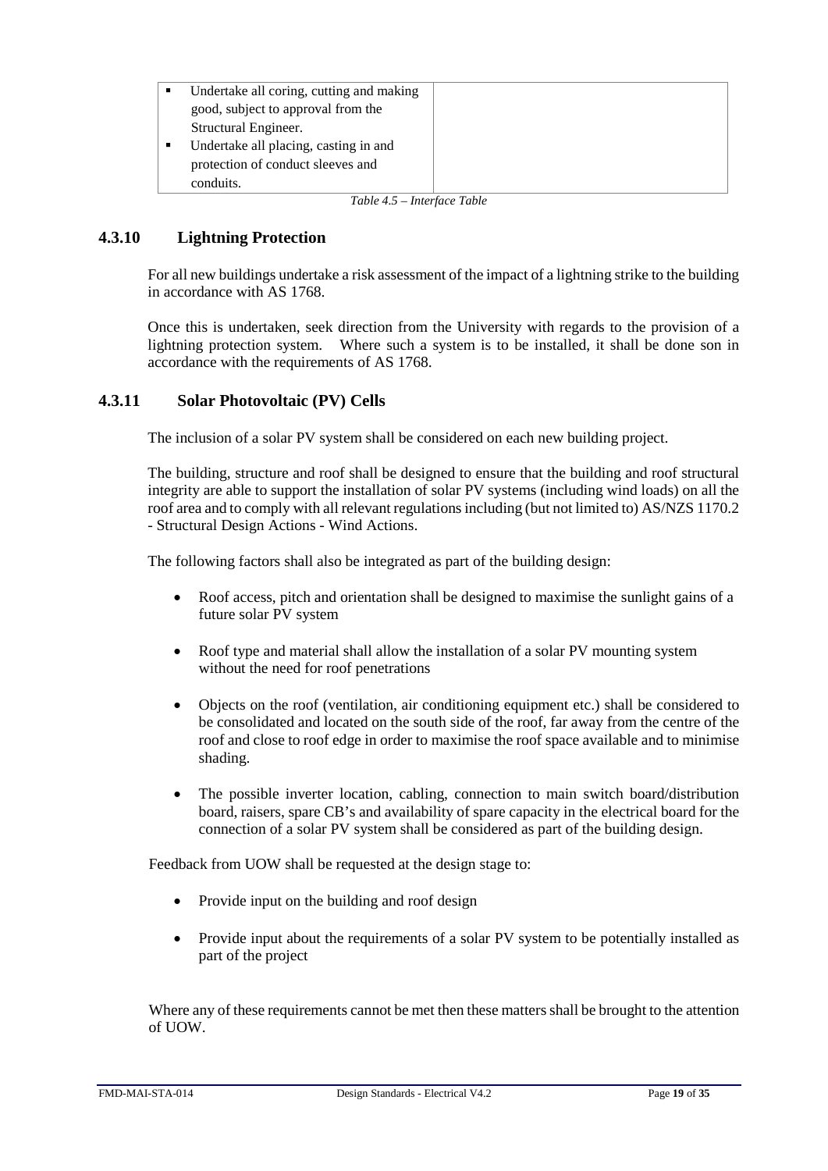| Undertake all coring, cutting and making |  |  |
|------------------------------------------|--|--|
| good, subject to approval from the       |  |  |
| Structural Engineer.                     |  |  |
| Undertake all placing, casting in and    |  |  |
| protection of conduct sleeves and        |  |  |
| conduits.                                |  |  |
| THE T.C.TH                               |  |  |

*Table 4.5 – Interface Table*

## <span id="page-18-0"></span>**4.3.10 Lightning Protection**

For all new buildings undertake a risk assessment of the impact of a lightning strike to the building in accordance with AS 1768.

Once this is undertaken, seek direction from the University with regards to the provision of a lightning protection system. Where such a system is to be installed, it shall be done son in accordance with the requirements of AS 1768.

## <span id="page-18-1"></span>**4.3.11 Solar Photovoltaic (PV) Cells**

The inclusion of a solar PV system shall be considered on each new building project.

The building, structure and roof shall be designed to ensure that the building and roof structural integrity are able to support the installation of solar PV systems (including wind loads) on all the roof area and to comply with all relevant regulations including (but not limited to) AS/NZS 1170.2 - Structural Design Actions - Wind Actions.

The following factors shall also be integrated as part of the building design:

- Roof access, pitch and orientation shall be designed to maximise the sunlight gains of a future solar PV system
- Roof type and material shall allow the installation of a solar PV mounting system without the need for roof penetrations
- Objects on the roof (ventilation, air conditioning equipment etc.) shall be considered to be consolidated and located on the south side of the roof, far away from the centre of the roof and close to roof edge in order to maximise the roof space available and to minimise shading.
- The possible inverter location, cabling, connection to main switch board/distribution board, raisers, spare CB's and availability of spare capacity in the electrical board for the connection of a solar PV system shall be considered as part of the building design.

Feedback from UOW shall be requested at the design stage to:

- Provide input on the building and roof design
- Provide input about the requirements of a solar PV system to be potentially installed as part of the project

Where any of these requirements cannot be met then these matters shall be brought to the attention of UOW.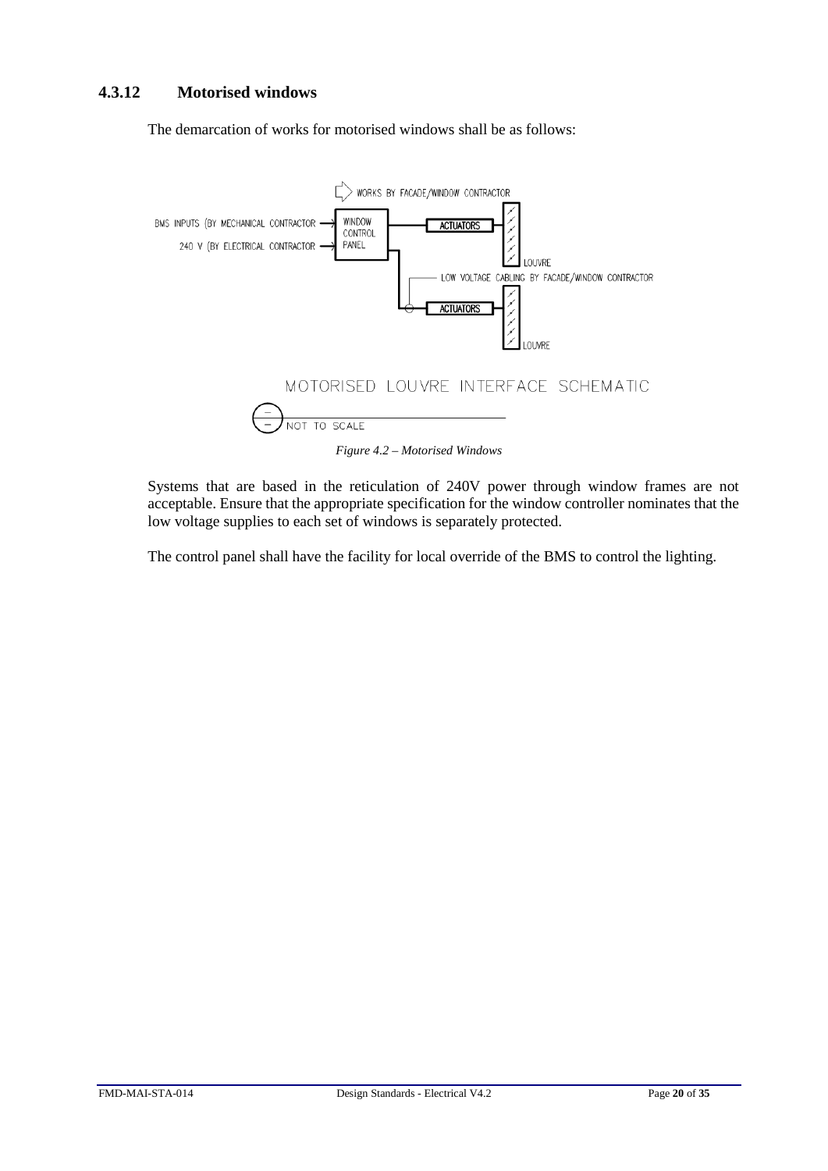## <span id="page-19-0"></span>**4.3.12 Motorised windows**

The demarcation of works for motorised windows shall be as follows:



Systems that are based in the reticulation of 240V power through window frames are not acceptable. Ensure that the appropriate specification for the window controller nominates that the low voltage supplies to each set of windows is separately protected.

The control panel shall have the facility for local override of the BMS to control the lighting.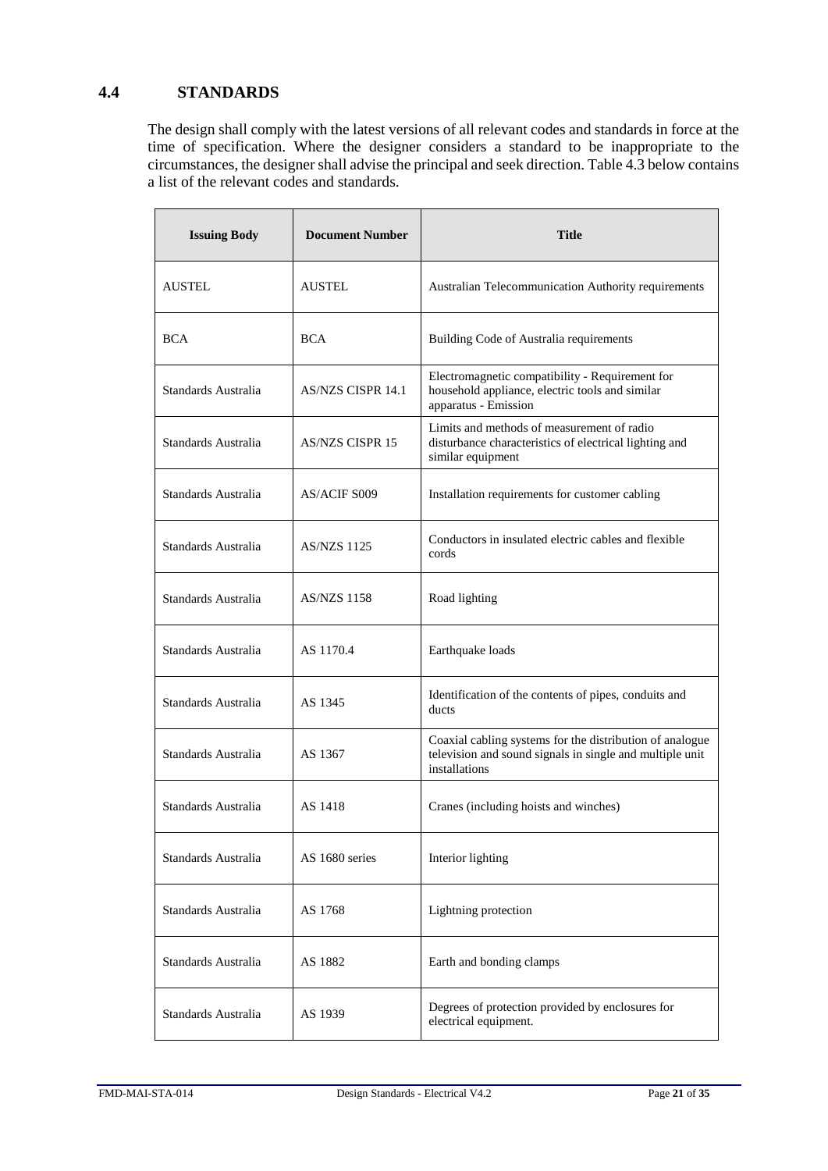## <span id="page-20-0"></span>**4.4 STANDARDS**

The design shall comply with the latest versions of all relevant codes and standards in force at the time of specification. Where the designer considers a standard to be inappropriate to the circumstances, the designer shall advise the principal and seek direction. Table 4.3 below contains a list of the relevant codes and standards.

| <b>Issuing Body</b> | <b>Document Number</b>   | <b>Title</b>                                                                                                                          |
|---------------------|--------------------------|---------------------------------------------------------------------------------------------------------------------------------------|
| AUSTEL              | <b>AUSTEL</b>            | Australian Telecommunication Authority requirements                                                                                   |
| <b>BCA</b>          | <b>BCA</b>               | Building Code of Australia requirements                                                                                               |
| Standards Australia | <b>AS/NZS CISPR 14.1</b> | Electromagnetic compatibility - Requirement for<br>household appliance, electric tools and similar<br>apparatus - Emission            |
| Standards Australia | AS/NZS CISPR 15          | Limits and methods of measurement of radio<br>disturbance characteristics of electrical lighting and<br>similar equipment             |
| Standards Australia | AS/ACIF S009             | Installation requirements for customer cabling                                                                                        |
| Standards Australia | <b>AS/NZS 1125</b>       | Conductors in insulated electric cables and flexible<br>cords                                                                         |
| Standards Australia | <b>AS/NZS 1158</b>       | Road lighting                                                                                                                         |
| Standards Australia | AS 1170.4                | Earthquake loads                                                                                                                      |
| Standards Australia | AS 1345                  | Identification of the contents of pipes, conduits and<br>ducts                                                                        |
| Standards Australia | AS 1367                  | Coaxial cabling systems for the distribution of analogue<br>television and sound signals in single and multiple unit<br>installations |
| Standards Australia | AS 1418                  | Cranes (including hoists and winches)                                                                                                 |
| Standards Australia | AS 1680 series           | Interior lighting                                                                                                                     |
| Standards Australia | AS 1768                  | Lightning protection                                                                                                                  |
| Standards Australia | AS 1882                  | Earth and bonding clamps                                                                                                              |
| Standards Australia | AS 1939                  | Degrees of protection provided by enclosures for<br>electrical equipment.                                                             |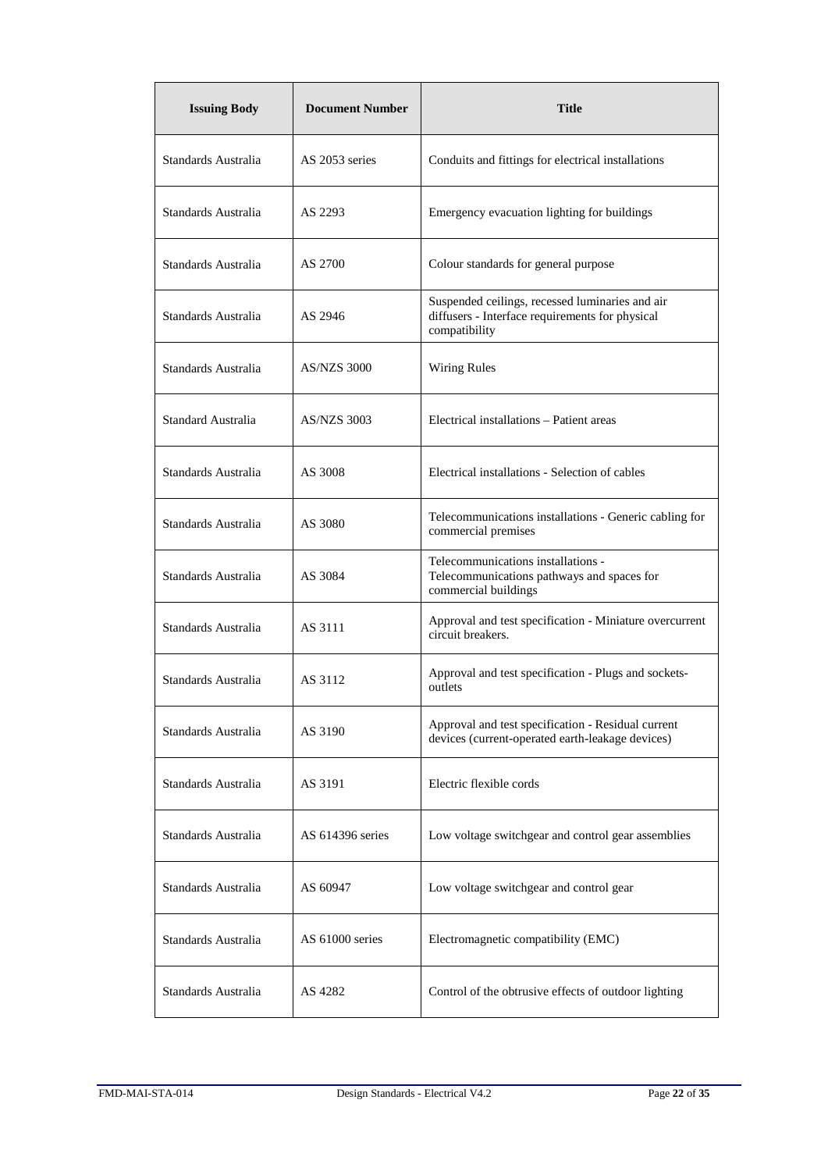| <b>Issuing Body</b> | <b>Document Number</b> | <b>Title</b>                                                                                                        |
|---------------------|------------------------|---------------------------------------------------------------------------------------------------------------------|
| Standards Australia | AS 2053 series         | Conduits and fittings for electrical installations                                                                  |
| Standards Australia | AS 2293                | Emergency evacuation lighting for buildings                                                                         |
| Standards Australia | AS 2700                | Colour standards for general purpose                                                                                |
| Standards Australia | AS 2946                | Suspended ceilings, recessed luminaries and air<br>diffusers - Interface requirements for physical<br>compatibility |
| Standards Australia | <b>AS/NZS 3000</b>     | <b>Wiring Rules</b>                                                                                                 |
| Standard Australia  | <b>AS/NZS 3003</b>     | Electrical installations - Patient areas                                                                            |
| Standards Australia | AS 3008                | Electrical installations - Selection of cables                                                                      |
| Standards Australia | AS 3080                | Telecommunications installations - Generic cabling for<br>commercial premises                                       |
| Standards Australia | AS 3084                | Telecommunications installations -<br>Telecommunications pathways and spaces for<br>commercial buildings            |
| Standards Australia | AS 3111                | Approval and test specification - Miniature overcurrent<br>circuit breakers.                                        |
| Standards Australia | AS 3112                | Approval and test specification - Plugs and sockets-<br>outlets                                                     |
| Standards Australia | AS 3190                | Approval and test specification - Residual current<br>devices (current-operated earth-leakage devices)              |
| Standards Australia | AS 3191                | Electric flexible cords                                                                                             |
| Standards Australia | AS 614396 series       | Low voltage switchgear and control gear assemblies                                                                  |
| Standards Australia | AS 60947               | Low voltage switchgear and control gear                                                                             |
| Standards Australia | AS 61000 series        | Electromagnetic compatibility (EMC)                                                                                 |
| Standards Australia | AS 4282                | Control of the obtrusive effects of outdoor lighting                                                                |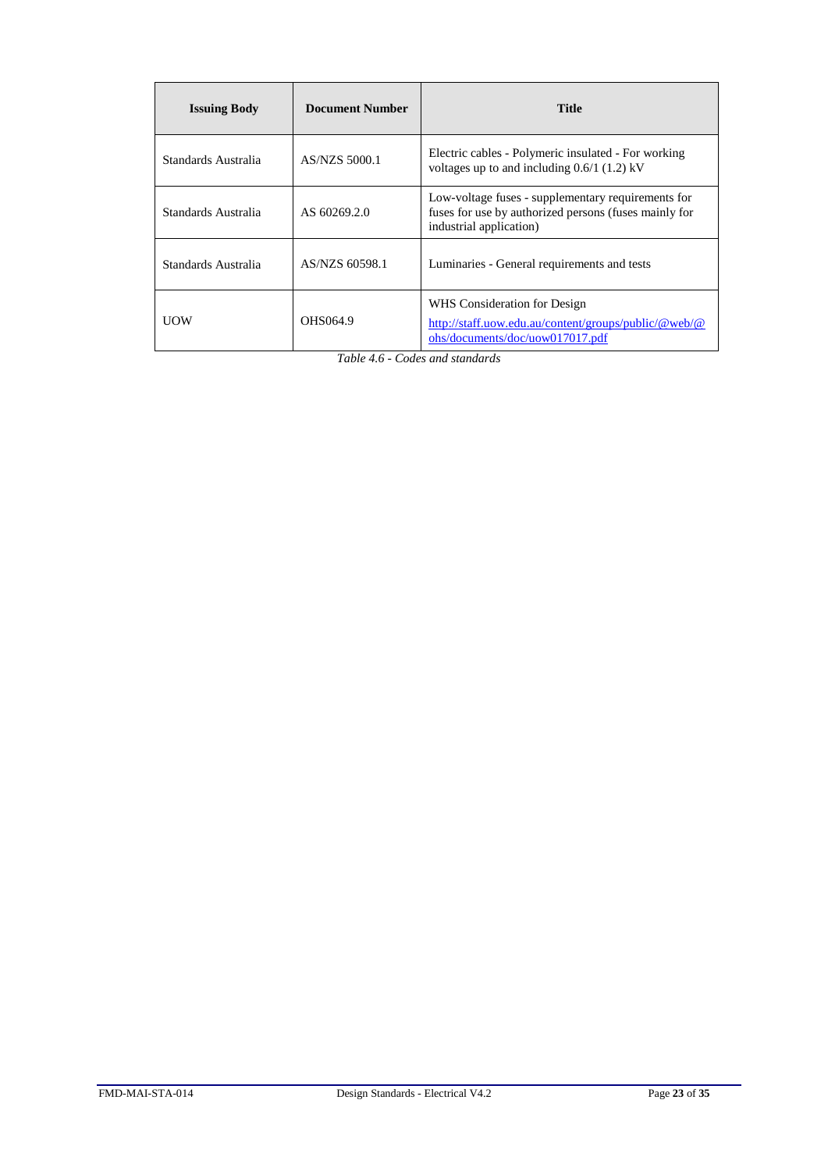| <b>Issuing Body</b> | <b>Document Number</b> | <b>Title</b>                                                                                                                           |
|---------------------|------------------------|----------------------------------------------------------------------------------------------------------------------------------------|
| Standards Australia | AS/NZS 5000.1          | Electric cables - Polymeric insulated - For working<br>voltages up to and including $0.6/1$ (1.2) kV                                   |
| Standards Australia | AS 60269.2.0           | Low-voltage fuses - supplementary requirements for<br>fuses for use by authorized persons (fuses mainly for<br>industrial application) |
| Standards Australia | AS/NZS 60598.1         | Luminaries - General requirements and tests                                                                                            |
| UOW                 | OHS064.9               | WHS Consideration for Design<br>http://staff.uow.edu.au/content/groups/public/@web/@<br>ohs/documents/doc/uow017017.pdf                |

*Table 4.6 - Codes and standards*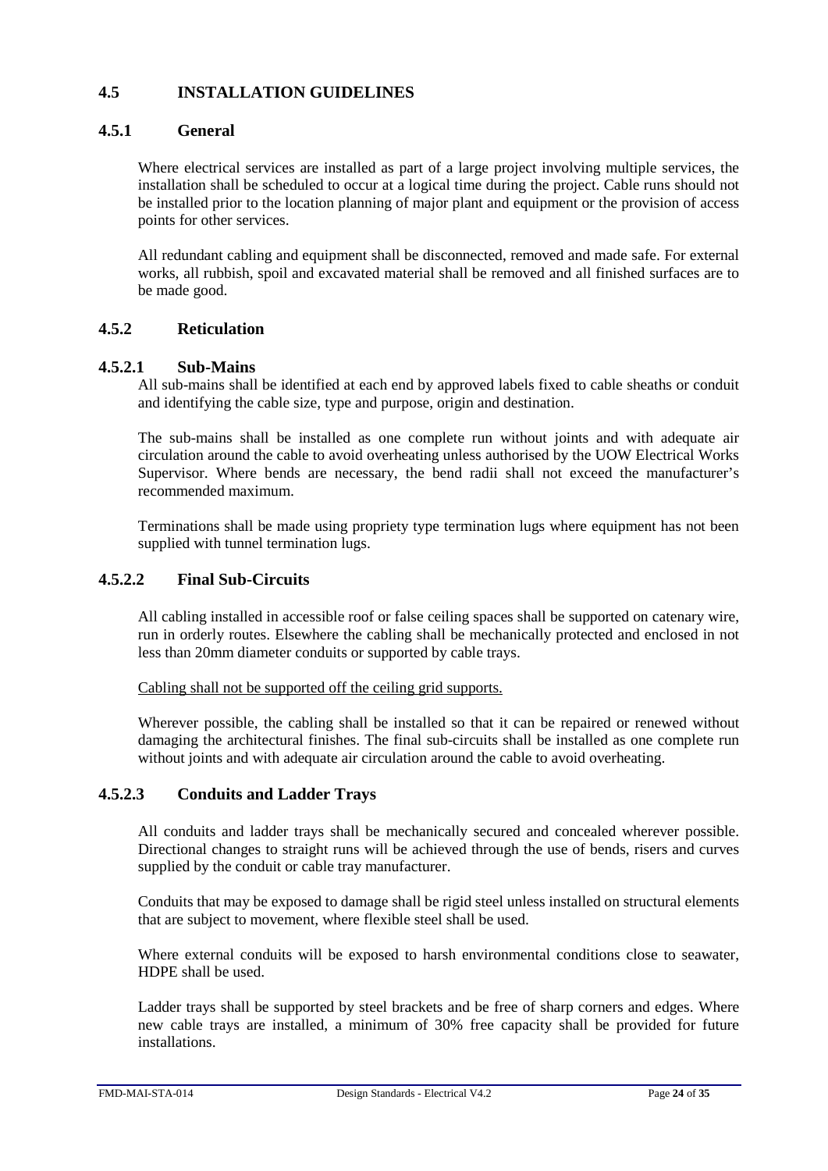## <span id="page-23-0"></span>**4.5 INSTALLATION GUIDELINES**

## <span id="page-23-1"></span>**4.5.1 General**

Where electrical services are installed as part of a large project involving multiple services, the installation shall be scheduled to occur at a logical time during the project. Cable runs should not be installed prior to the location planning of major plant and equipment or the provision of access points for other services.

All redundant cabling and equipment shall be disconnected, removed and made safe. For external works, all rubbish, spoil and excavated material shall be removed and all finished surfaces are to be made good.

## <span id="page-23-2"></span>**4.5.2 Reticulation**

## **4.5.2.1 Sub-Mains**

All sub-mains shall be identified at each end by approved labels fixed to cable sheaths or conduit and identifying the cable size, type and purpose, origin and destination.

The sub-mains shall be installed as one complete run without joints and with adequate air circulation around the cable to avoid overheating unless authorised by the UOW Electrical Works Supervisor. Where bends are necessary, the bend radii shall not exceed the manufacturer's recommended maximum.

Terminations shall be made using propriety type termination lugs where equipment has not been supplied with tunnel termination lugs.

## **4.5.2.2 Final Sub-Circuits**

All cabling installed in accessible roof or false ceiling spaces shall be supported on catenary wire, run in orderly routes. Elsewhere the cabling shall be mechanically protected and enclosed in not less than 20mm diameter conduits or supported by cable trays.

Cabling shall not be supported off the ceiling grid supports.

Wherever possible, the cabling shall be installed so that it can be repaired or renewed without damaging the architectural finishes. The final sub-circuits shall be installed as one complete run without joints and with adequate air circulation around the cable to avoid overheating.

## **4.5.2.3 Conduits and Ladder Trays**

All conduits and ladder trays shall be mechanically secured and concealed wherever possible. Directional changes to straight runs will be achieved through the use of bends, risers and curves supplied by the conduit or cable tray manufacturer.

Conduits that may be exposed to damage shall be rigid steel unless installed on structural elements that are subject to movement, where flexible steel shall be used.

Where external conduits will be exposed to harsh environmental conditions close to seawater, HDPE shall be used.

Ladder trays shall be supported by steel brackets and be free of sharp corners and edges. Where new cable trays are installed, a minimum of 30% free capacity shall be provided for future installations.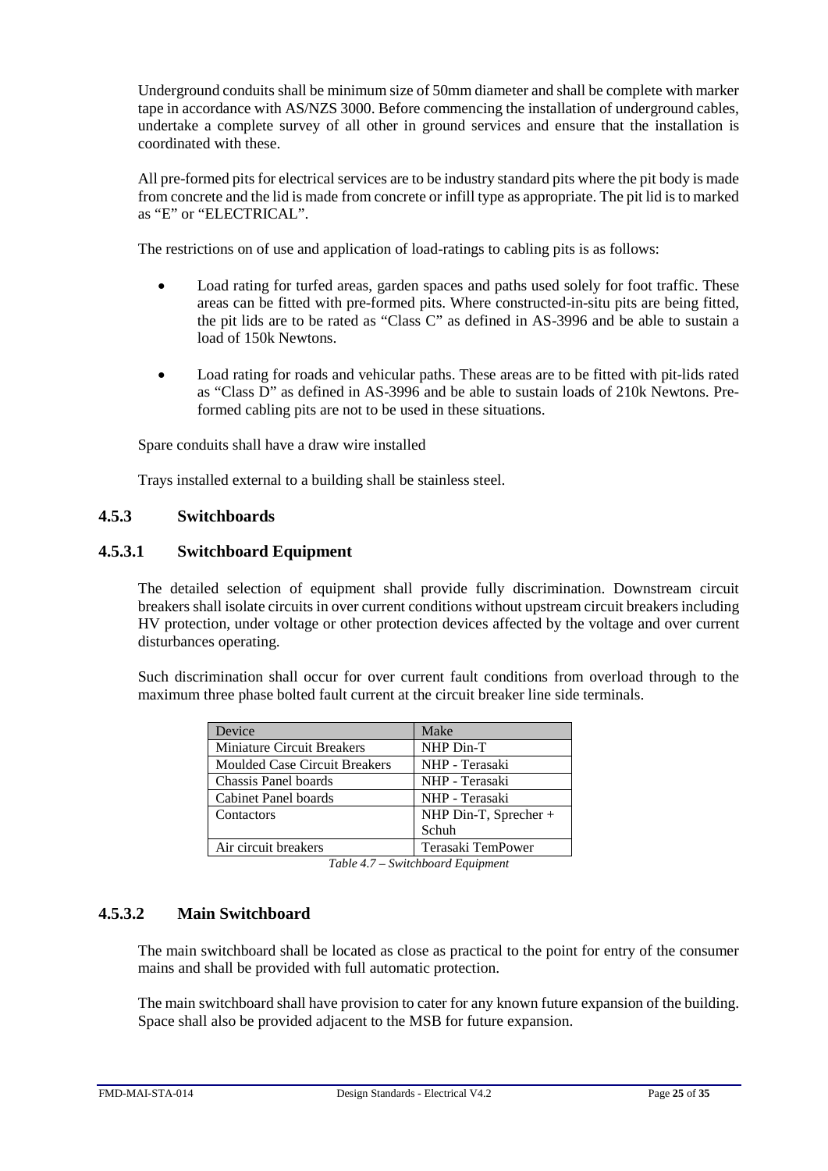Underground conduits shall be minimum size of 50mm diameter and shall be complete with marker tape in accordance with AS/NZS 3000. Before commencing the installation of underground cables, undertake a complete survey of all other in ground services and ensure that the installation is coordinated with these.

All pre-formed pits for electrical services are to be industry standard pits where the pit body is made from concrete and the lid is made from concrete or infill type as appropriate. The pit lid is to marked as "E" or "ELECTRICAL".

The restrictions on of use and application of load-ratings to cabling pits is as follows:

- Load rating for turfed areas, garden spaces and paths used solely for foot traffic. These areas can be fitted with pre-formed pits. Where constructed-in-situ pits are being fitted, the pit lids are to be rated as "Class C" as defined in AS-3996 and be able to sustain a load of 150k Newtons.
- Load rating for roads and vehicular paths. These areas are to be fitted with pit-lids rated as "Class D" as defined in AS-3996 and be able to sustain loads of 210k Newtons. Preformed cabling pits are not to be used in these situations.

Spare conduits shall have a draw wire installed

Trays installed external to a building shall be stainless steel.

## <span id="page-24-0"></span>**4.5.3 Switchboards**

## **4.5.3.1 Switchboard Equipment**

The detailed selection of equipment shall provide fully discrimination. Downstream circuit breakers shall isolate circuits in over current conditions without upstream circuit breakers including HV protection, under voltage or other protection devices affected by the voltage and over current disturbances operating.

Such discrimination shall occur for over current fault conditions from overload through to the maximum three phase bolted fault current at the circuit breaker line side terminals.

| Device                            | Make                    |
|-----------------------------------|-------------------------|
| <b>Miniature Circuit Breakers</b> | NHP Din-T               |
| Moulded Case Circuit Breakers     | NHP - Terasaki          |
| Chassis Panel boards              | NHP - Terasaki          |
| Cabinet Panel boards              | NHP - Terasaki          |
| Contactors                        | NHP Din-T, Sprecher $+$ |
|                                   | Schuh                   |
| Air circuit breakers              | Terasaki TemPower       |

*Table 4.7 – Switchboard Equipment*

## **4.5.3.2 Main Switchboard**

The main switchboard shall be located as close as practical to the point for entry of the consumer mains and shall be provided with full automatic protection.

The main switchboard shall have provision to cater for any known future expansion of the building. Space shall also be provided adjacent to the MSB for future expansion.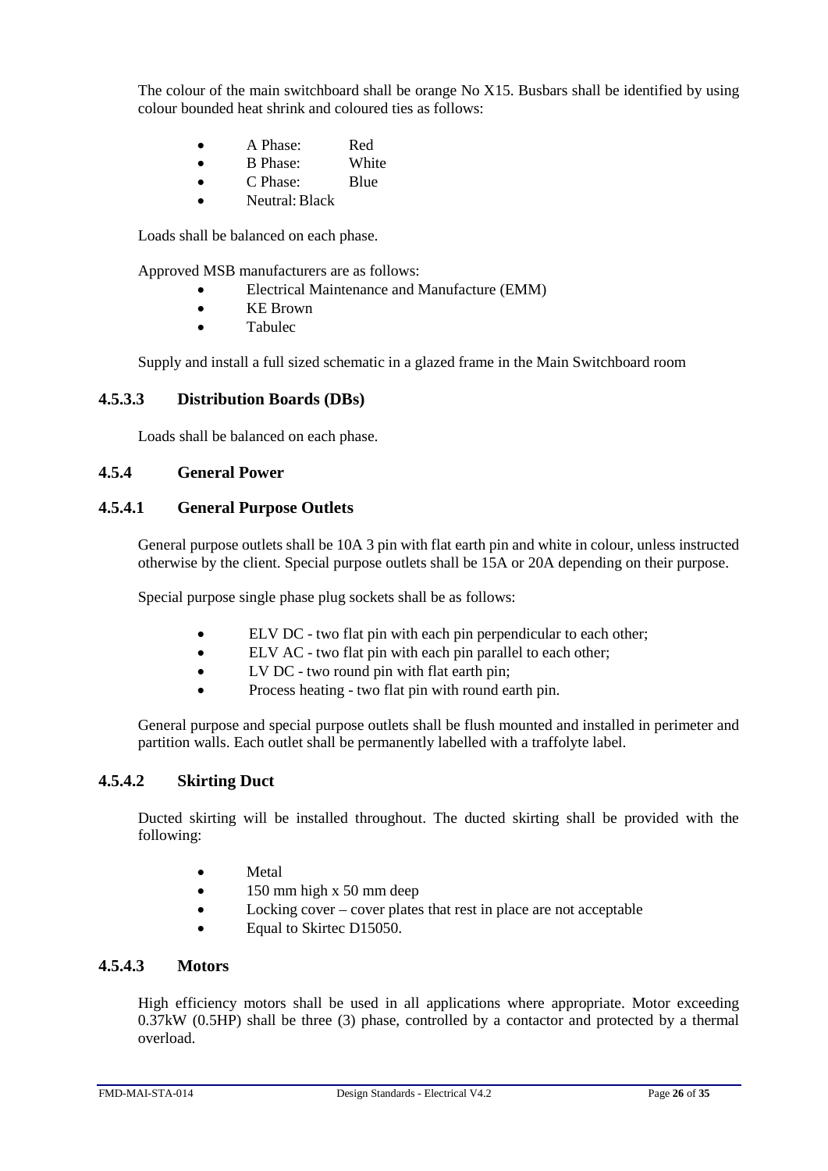The colour of the main switchboard shall be orange No X15. Busbars shall be identified by using colour bounded heat shrink and coloured ties as follows:

- A Phase: Red
- B Phase: White
- C Phase: Blue
- Neutral: Black

Loads shall be balanced on each phase.

Approved MSB manufacturers are as follows:

- Electrical Maintenance and Manufacture (EMM)
- KE Brown
- **Tabulec**

Supply and install a full sized schematic in a glazed frame in the Main Switchboard room

## **4.5.3.3 Distribution Boards (DBs)**

Loads shall be balanced on each phase.

## <span id="page-25-0"></span>**4.5.4 General Power**

## **4.5.4.1 General Purpose Outlets**

General purpose outlets shall be 10A 3 pin with flat earth pin and white in colour, unless instructed otherwise by the client. Special purpose outlets shall be 15A or 20A depending on their purpose.

Special purpose single phase plug sockets shall be as follows:

- ELV DC two flat pin with each pin perpendicular to each other;
- ELV AC two flat pin with each pin parallel to each other;
- LV DC two round pin with flat earth pin;
- Process heating two flat pin with round earth pin.

General purpose and special purpose outlets shall be flush mounted and installed in perimeter and partition walls. Each outlet shall be permanently labelled with a traffolyte label.

## **4.5.4.2 Skirting Duct**

Ducted skirting will be installed throughout. The ducted skirting shall be provided with the following:

- Metal
- 150 mm high x 50 mm deep
- Locking cover cover plates that rest in place are not acceptable
- Equal to Skirtec D15050.

## **4.5.4.3 Motors**

High efficiency motors shall be used in all applications where appropriate. Motor exceeding 0.37kW (0.5HP) shall be three (3) phase, controlled by a contactor and protected by a thermal overload.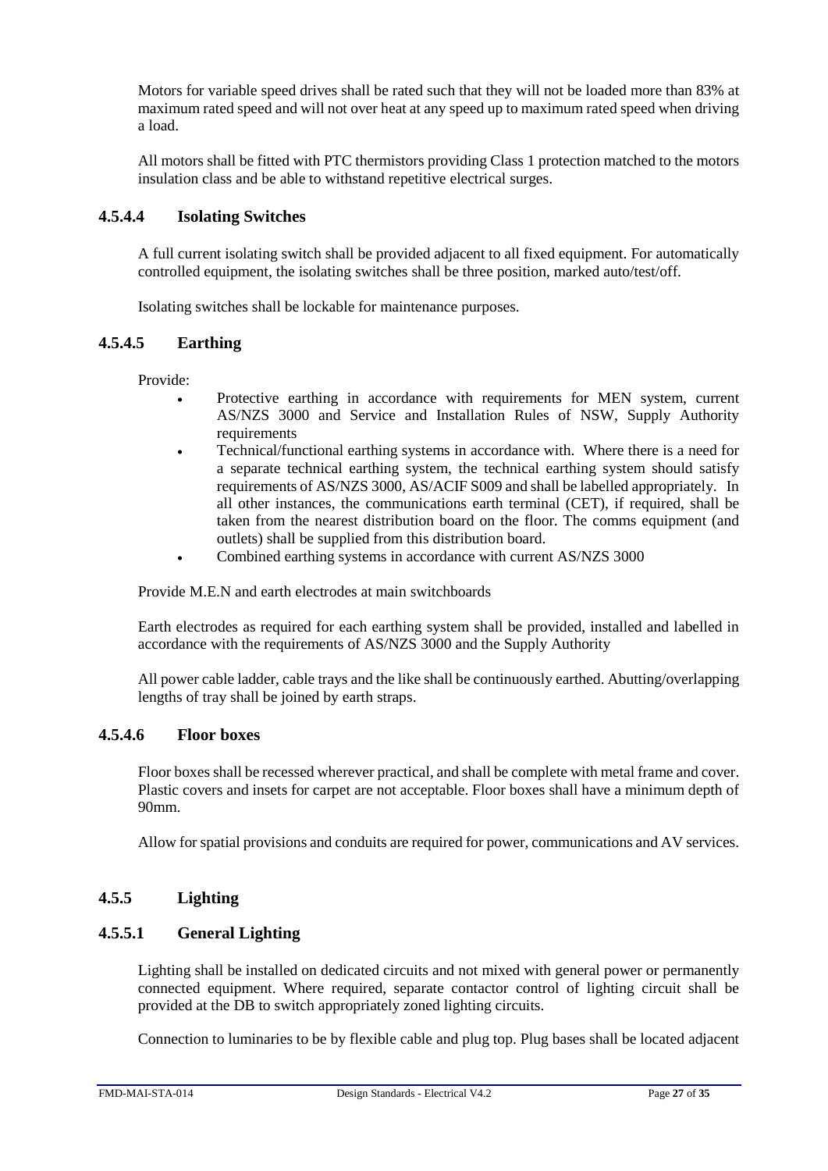Motors for variable speed drives shall be rated such that they will not be loaded more than 83% at maximum rated speed and will not over heat at any speed up to maximum rated speed when driving a load.

All motors shall be fitted with PTC thermistors providing Class 1 protection matched to the motors insulation class and be able to withstand repetitive electrical surges.

## **4.5.4.4 Isolating Switches**

A full current isolating switch shall be provided adjacent to all fixed equipment. For automatically controlled equipment, the isolating switches shall be three position, marked auto/test/off.

Isolating switches shall be lockable for maintenance purposes.

#### **4.5.4.5 Earthing**

Provide:

- Protective earthing in accordance with requirements for MEN system, current AS/NZS 3000 and Service and Installation Rules of NSW, Supply Authority requirements
- Technical/functional earthing systems in accordance with. Where there is a need for a separate technical earthing system, the technical earthing system should satisfy requirements of AS/NZS 3000, AS/ACIF S009 and shall be labelled appropriately. In all other instances, the communications earth terminal (CET), if required, shall be taken from the nearest distribution board on the floor. The comms equipment (and outlets) shall be supplied from this distribution board.
	- Combined earthing systems in accordance with current AS/NZS 3000

Provide M.E.N and earth electrodes at main switchboards

Earth electrodes as required for each earthing system shall be provided, installed and labelled in accordance with the requirements of AS/NZS 3000 and the Supply Authority

All power cable ladder, cable trays and the like shall be continuously earthed. Abutting/overlapping lengths of tray shall be joined by earth straps.

## **4.5.4.6 Floor boxes**

Floor boxes shall be recessed wherever practical, and shall be complete with metal frame and cover. Plastic covers and insets for carpet are not acceptable. Floor boxes shall have a minimum depth of 90mm.

Allow for spatial provisions and conduits are required for power, communications and AV services.

## <span id="page-26-0"></span>**4.5.5 Lighting**

## **4.5.5.1 General Lighting**

Lighting shall be installed on dedicated circuits and not mixed with general power or permanently connected equipment. Where required, separate contactor control of lighting circuit shall be provided at the DB to switch appropriately zoned lighting circuits.

Connection to luminaries to be by flexible cable and plug top. Plug bases shall be located adjacent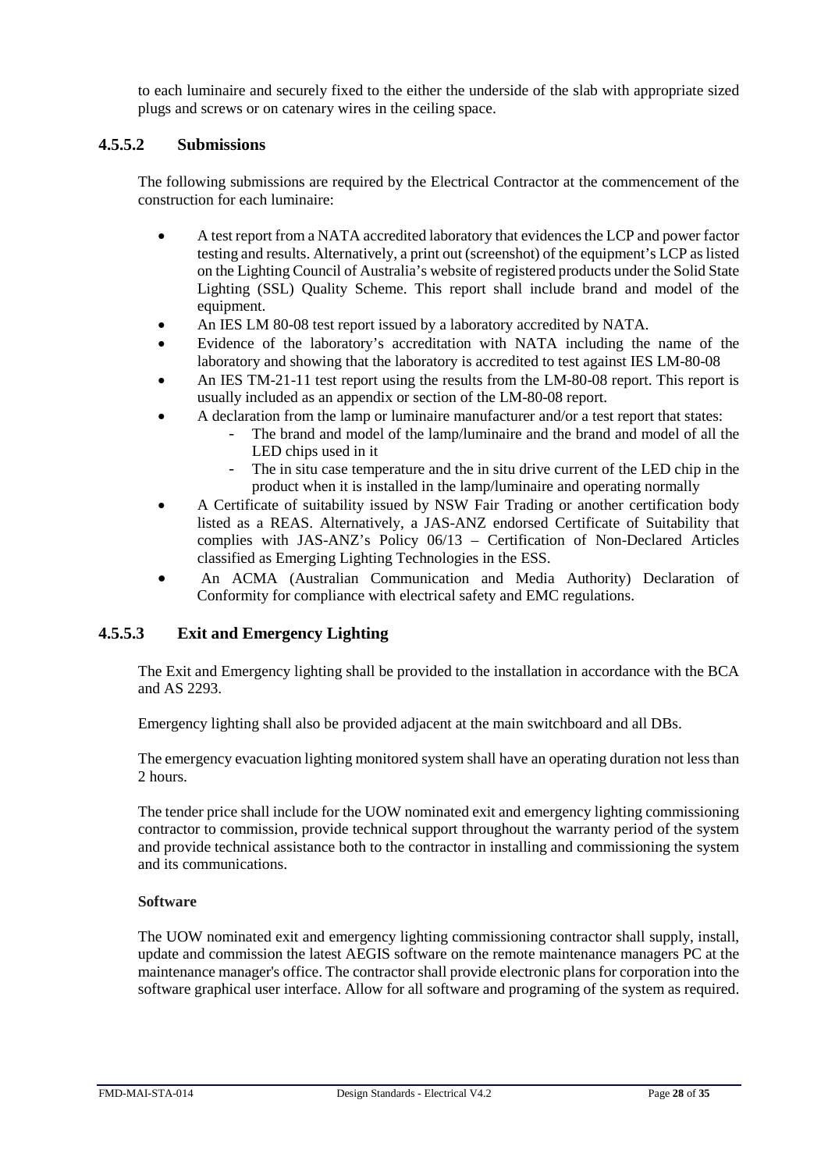to each luminaire and securely fixed to the either the underside of the slab with appropriate sized plugs and screws or on catenary wires in the ceiling space.

## **4.5.5.2 Submissions**

The following submissions are required by the Electrical Contractor at the commencement of the construction for each luminaire:

- A test report from a NATA accredited laboratory that evidences the LCP and power factor testing and results. Alternatively, a print out (screenshot) of the equipment's LCP as listed on the Lighting Council of Australia's website of registered products under the Solid State Lighting (SSL) Quality Scheme. This report shall include brand and model of the equipment.
- An IES LM 80-08 test report issued by a laboratory accredited by NATA.
- Evidence of the laboratory's accreditation with NATA including the name of the laboratory and showing that the laboratory is accredited to test against IES LM-80-08
- An IES TM-21-11 test report using the results from the LM-80-08 report. This report is usually included as an appendix or section of the LM-80-08 report.
- A declaration from the lamp or luminaire manufacturer and/or a test report that states:
	- The brand and model of the lamp/luminaire and the brand and model of all the LED chips used in it
	- The in situ case temperature and the in situ drive current of the LED chip in the product when it is installed in the lamp/luminaire and operating normally
- A Certificate of suitability issued by NSW Fair Trading or another certification body listed as a REAS. Alternatively, a JAS-ANZ endorsed Certificate of Suitability that complies with JAS-ANZ's Policy 06/13 – Certification of Non-Declared Articles classified as Emerging Lighting Technologies in the ESS.
- An ACMA (Australian Communication and Media Authority) Declaration of Conformity for compliance with electrical safety and EMC regulations.

## **4.5.5.3 Exit and Emergency Lighting**

The Exit and Emergency lighting shall be provided to the installation in accordance with the BCA and AS 2293.

Emergency lighting shall also be provided adjacent at the main switchboard and all DBs.

The emergency evacuation lighting monitored system shall have an operating duration not less than 2 hours.

The tender price shall include for the UOW nominated exit and emergency lighting commissioning contractor to commission, provide technical support throughout the warranty period of the system and provide technical assistance both to the contractor in installing and commissioning the system and its communications.

## **Software**

The UOW nominated exit and emergency lighting commissioning contractor shall supply, install, update and commission the latest AEGIS software on the remote maintenance managers PC at the maintenance manager's office. The contractor shall provide electronic plans for corporation into the software graphical user interface. Allow for all software and programing of the system as required.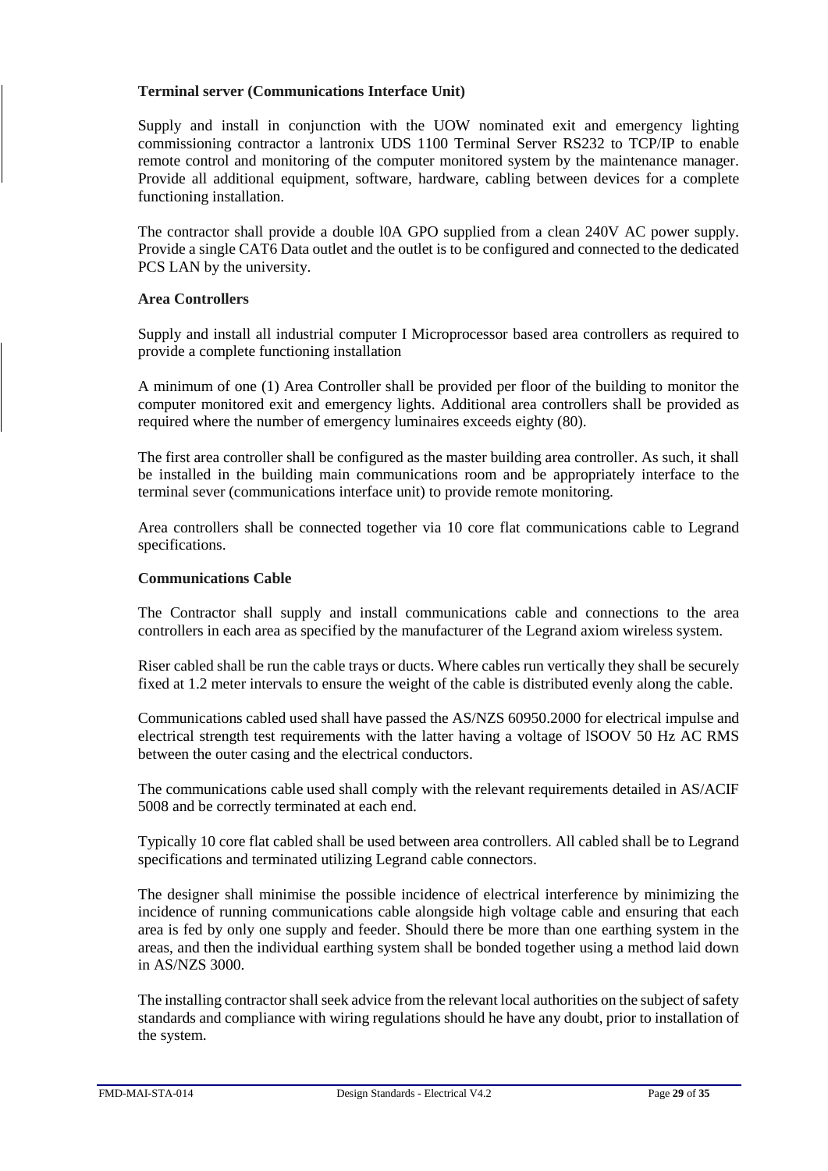#### **Terminal server (Communications Interface Unit)**

Supply and install in conjunction with the UOW nominated exit and emergency lighting commissioning contractor a lantronix UDS 1100 Terminal Server RS232 to TCP/IP to enable remote control and monitoring of the computer monitored system by the maintenance manager. Provide all additional equipment, software, hardware, cabling between devices for a complete functioning installation.

The contractor shall provide a double l0A GPO supplied from a clean 240V AC power supply. Provide a single CAT6 Data outlet and the outlet is to be configured and connected to the dedicated PCS LAN by the university.

#### **Area Controllers**

Supply and install all industrial computer I Microprocessor based area controllers as required to provide a complete functioning installation

A minimum of one (1) Area Controller shall be provided per floor of the building to monitor the computer monitored exit and emergency lights. Additional area controllers shall be provided as required where the number of emergency luminaires exceeds eighty (80).

The first area controller shall be configured as the master building area controller. As such, it shall be installed in the building main communications room and be appropriately interface to the terminal sever (communications interface unit) to provide remote monitoring.

Area controllers shall be connected together via 10 core flat communications cable to Legrand specifications.

#### **Communications Cable**

The Contractor shall supply and install communications cable and connections to the area controllers in each area as specified by the manufacturer of the Legrand axiom wireless system.

Riser cabled shall be run the cable trays or ducts. Where cables run vertically they shall be securely fixed at 1.2 meter intervals to ensure the weight of the cable is distributed evenly along the cable.

Communications cabled used shall have passed the AS/NZS 60950.2000 for electrical impulse and electrical strength test requirements with the latter having a voltage of lSOOV 50 Hz AC RMS between the outer casing and the electrical conductors.

The communications cable used shall comply with the relevant requirements detailed in AS/ACIF 5008 and be correctly terminated at each end.

Typically 10 core flat cabled shall be used between area controllers. All cabled shall be to Legrand specifications and terminated utilizing Legrand cable connectors.

The designer shall minimise the possible incidence of electrical interference by minimizing the incidence of running communications cable alongside high voltage cable and ensuring that each area is fed by only one supply and feeder. Should there be more than one earthing system in the areas, and then the individual earthing system shall be bonded together using a method laid down in AS/NZS 3000.

The installing contractor shall seek advice from the relevant local authorities on the subject of safety standards and compliance with wiring regulations should he have any doubt, prior to installation of the system.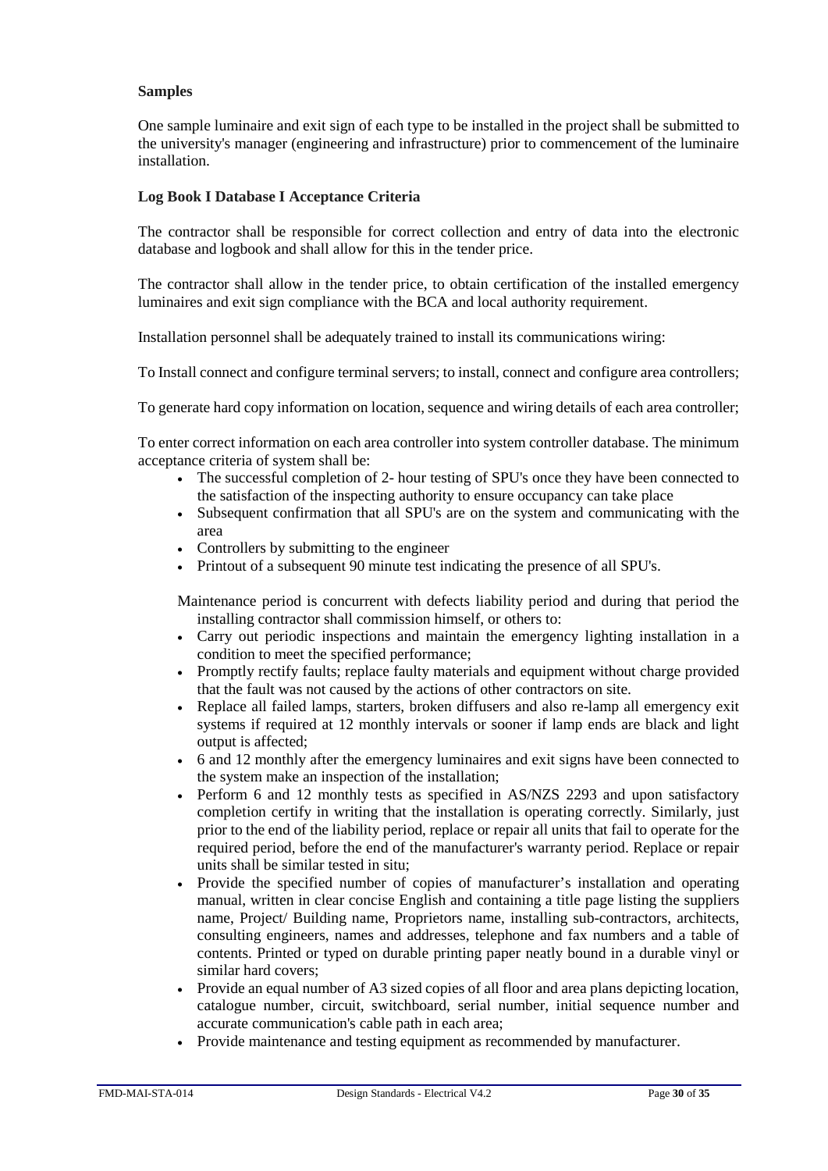#### **Samples**

One sample luminaire and exit sign of each type to be installed in the project shall be submitted to the university's manager (engineering and infrastructure) prior to commencement of the luminaire installation.

#### **Log Book I Database I Acceptance Criteria**

The contractor shall be responsible for correct collection and entry of data into the electronic database and logbook and shall allow for this in the tender price.

The contractor shall allow in the tender price, to obtain certification of the installed emergency luminaires and exit sign compliance with the BCA and local authority requirement.

Installation personnel shall be adequately trained to install its communications wiring:

To Install connect and configure terminal servers; to install, connect and configure area controllers;

To generate hard copy information on location, sequence and wiring details of each area controller;

To enter correct information on each area controller into system controller database. The minimum acceptance criteria of system shall be:

- The successful completion of 2- hour testing of SPU's once they have been connected to the satisfaction of the inspecting authority to ensure occupancy can take place
- Subsequent confirmation that all SPU's are on the system and communicating with the area
- Controllers by submitting to the engineer
- Printout of a subsequent 90 minute test indicating the presence of all SPU's.

Maintenance period is concurrent with defects liability period and during that period the installing contractor shall commission himself, or others to:

- Carry out periodic inspections and maintain the emergency lighting installation in a condition to meet the specified performance;
- Promptly rectify faults; replace faulty materials and equipment without charge provided that the fault was not caused by the actions of other contractors on site.
- Replace all failed lamps, starters, broken diffusers and also re-lamp all emergency exit systems if required at 12 monthly intervals or sooner if lamp ends are black and light output is affected;
- 6 and 12 monthly after the emergency luminaires and exit signs have been connected to the system make an inspection of the installation;
- Perform 6 and 12 monthly tests as specified in AS/NZS 2293 and upon satisfactory completion certify in writing that the installation is operating correctly. Similarly, just prior to the end of the liability period, replace or repair all units that fail to operate for the required period, before the end of the manufacturer's warranty period. Replace or repair units shall be similar tested in situ;
- Provide the specified number of copies of manufacturer's installation and operating manual, written in clear concise English and containing a title page listing the suppliers name, Project/ Building name, Proprietors name, installing sub-contractors, architects, consulting engineers, names and addresses, telephone and fax numbers and a table of contents. Printed or typed on durable printing paper neatly bound in a durable vinyl or similar hard covers;
- Provide an equal number of A3 sized copies of all floor and area plans depicting location, catalogue number, circuit, switchboard, serial number, initial sequence number and accurate communication's cable path in each area;
- Provide maintenance and testing equipment as recommended by manufacturer.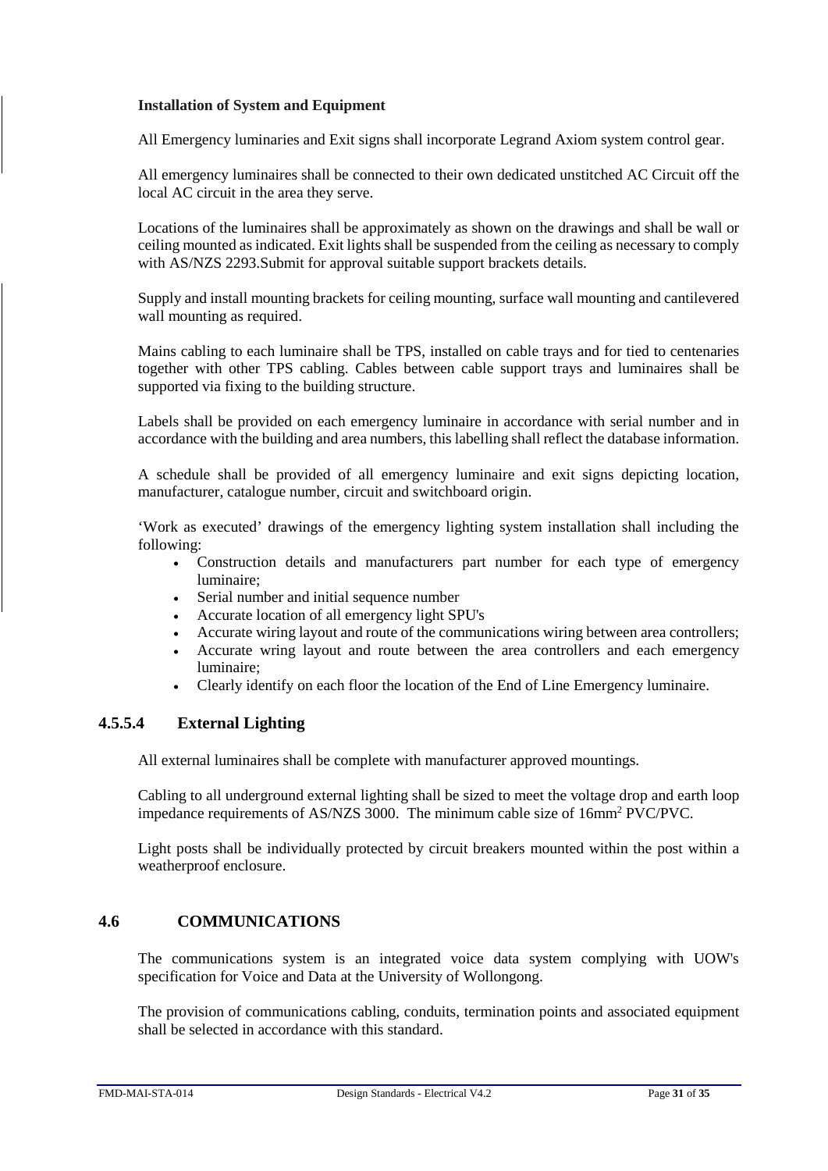#### **Installation of System and Equipment**

All Emergency luminaries and Exit signs shall incorporate Legrand Axiom system control gear.

All emergency luminaires shall be connected to their own dedicated unstitched AC Circuit off the local AC circuit in the area they serve.

Locations of the luminaires shall be approximately as shown on the drawings and shall be wall or ceiling mounted as indicated. Exit lights shall be suspended from the ceiling as necessary to comply with AS/NZS 2293.Submit for approval suitable support brackets details.

Supply and install mounting brackets for ceiling mounting, surface wall mounting and cantilevered wall mounting as required.

Mains cabling to each luminaire shall be TPS, installed on cable trays and for tied to centenaries together with other TPS cabling. Cables between cable support trays and luminaires shall be supported via fixing to the building structure.

Labels shall be provided on each emergency luminaire in accordance with serial number and in accordance with the building and area numbers, this labelling shall reflect the database information.

A schedule shall be provided of all emergency luminaire and exit signs depicting location, manufacturer, catalogue number, circuit and switchboard origin.

'Work as executed' drawings of the emergency lighting system installation shall including the following:

- Construction details and manufacturers part number for each type of emergency luminaire;
- Serial number and initial sequence number
- Accurate location of all emergency light SPU's
- Accurate wiring layout and route of the communications wiring between area controllers;
- Accurate wring layout and route between the area controllers and each emergency luminaire;
- Clearly identify on each floor the location of the End of Line Emergency luminaire.

## **4.5.5.4 External Lighting**

All external luminaires shall be complete with manufacturer approved mountings.

Cabling to all underground external lighting shall be sized to meet the voltage drop and earth loop impedance requirements of AS/NZS 3000. The minimum cable size of 16mm2 PVC/PVC.

Light posts shall be individually protected by circuit breakers mounted within the post within a weatherproof enclosure.

## <span id="page-30-0"></span>**4.6 COMMUNICATIONS**

The communications system is an integrated voice data system complying with UOW's specification for Voice and Data at the University of Wollongong.

The provision of communications cabling, conduits, termination points and associated equipment shall be selected in accordance with this standard.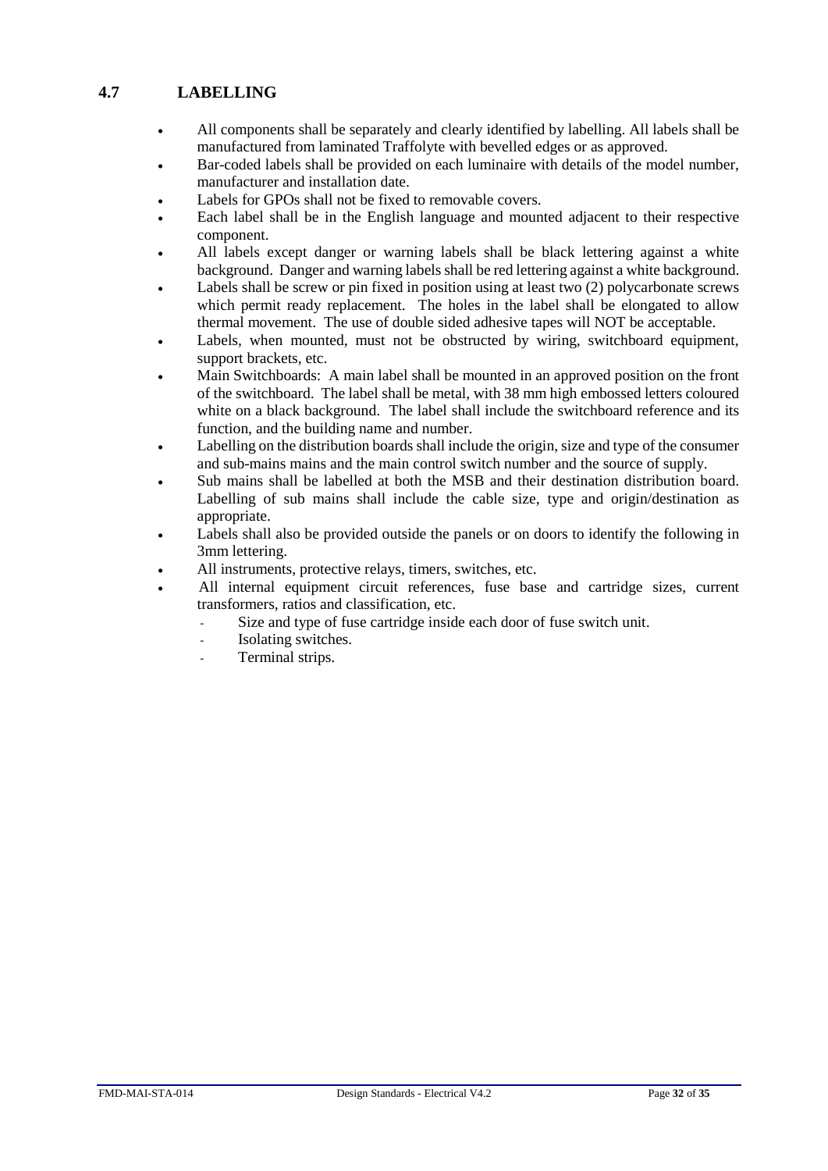## <span id="page-31-0"></span>**4.7 LABELLING**

- All components shall be separately and clearly identified by labelling. All labels shall be manufactured from laminated Traffolyte with bevelled edges or as approved.
- Bar-coded labels shall be provided on each luminaire with details of the model number, manufacturer and installation date.
- Labels for GPOs shall not be fixed to removable covers.
- Each label shall be in the English language and mounted adjacent to their respective component.
- All labels except danger or warning labels shall be black lettering against a white background. Danger and warning labels shall be red lettering against a white background.
- Labels shall be screw or pin fixed in position using at least two (2) polycarbonate screws which permit ready replacement. The holes in the label shall be elongated to allow thermal movement. The use of double sided adhesive tapes will NOT be acceptable.
- Labels, when mounted, must not be obstructed by wiring, switchboard equipment, support brackets, etc.
- Main Switchboards: A main label shall be mounted in an approved position on the front of the switchboard. The label shall be metal, with 38 mm high embossed letters coloured white on a black background. The label shall include the switchboard reference and its function, and the building name and number.
- Labelling on the distribution boards shall include the origin, size and type of the consumer and sub-mains mains and the main control switch number and the source of supply.
- Sub mains shall be labelled at both the MSB and their destination distribution board. Labelling of sub mains shall include the cable size, type and origin/destination as appropriate.
- Labels shall also be provided outside the panels or on doors to identify the following in 3mm lettering.
- All instruments, protective relays, timers, switches, etc.
- All internal equipment circuit references, fuse base and cartridge sizes, current transformers, ratios and classification, etc.
	- Size and type of fuse cartridge inside each door of fuse switch unit.
	- Isolating switches.
	- Terminal strips.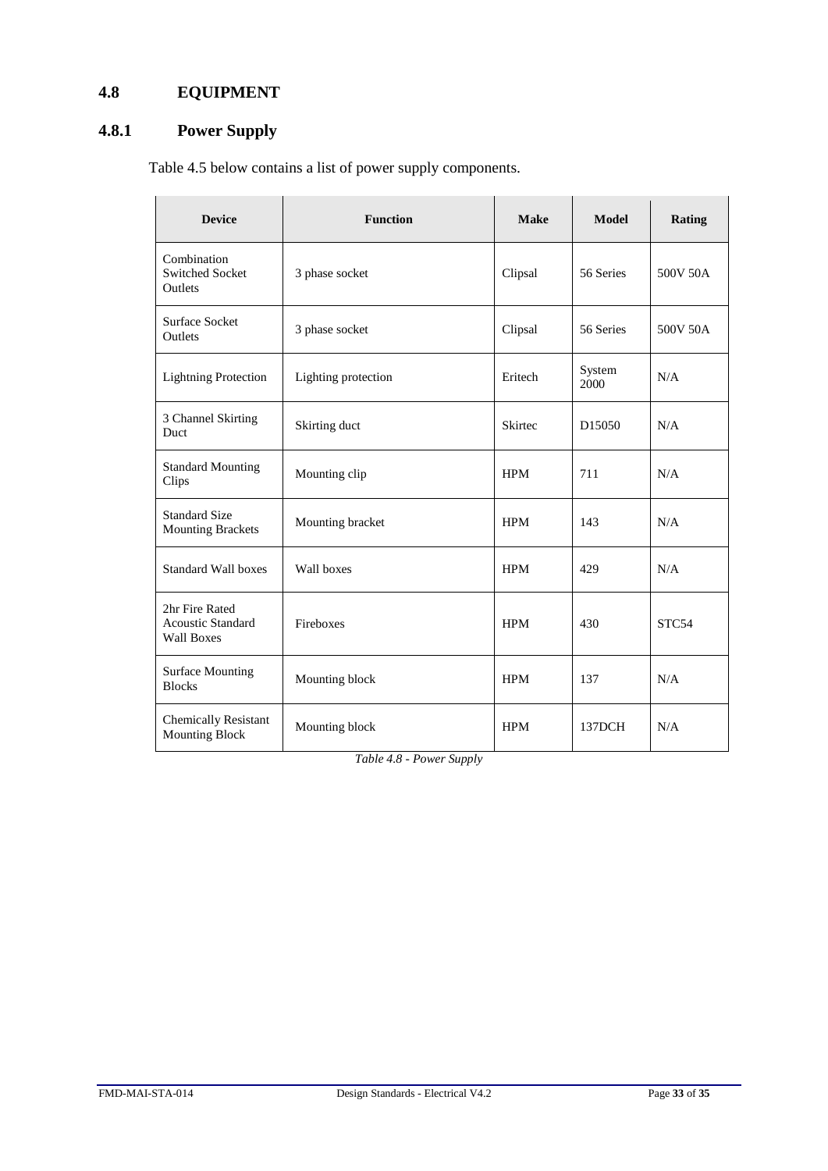## <span id="page-32-0"></span>**4.8 EQUIPMENT**

## <span id="page-32-1"></span>**4.8.1 Power Supply**

Table 4.5 below contains a list of power supply components.

| <b>Device</b>                                                   | <b>Function</b>     | <b>Make</b> | <b>Model</b>       | Rating   |
|-----------------------------------------------------------------|---------------------|-------------|--------------------|----------|
| Combination<br><b>Switched Socket</b><br>Outlets                | 3 phase socket      | Clipsal     | 56 Series          | 500V 50A |
| <b>Surface Socket</b><br>Outlets                                | 3 phase socket      | Clipsal     | 56 Series          | 500V 50A |
| <b>Lightning Protection</b>                                     | Lighting protection | Eritech     | System<br>2000     | N/A      |
| 3 Channel Skirting<br>Duct                                      | Skirting duct       | Skirtec     | D <sub>15050</sub> | N/A      |
| <b>Standard Mounting</b><br>Clips                               | Mounting clip       | <b>HPM</b>  | 711                | N/A      |
| <b>Standard Size</b><br><b>Mounting Brackets</b>                | Mounting bracket    | <b>HPM</b>  | 143                | N/A      |
| <b>Standard Wall boxes</b>                                      | Wall boxes          | <b>HPM</b>  | 429                | N/A      |
| 2hr Fire Rated<br><b>Acoustic Standard</b><br><b>Wall Boxes</b> | Fireboxes           | <b>HPM</b>  | 430                | STC54    |
| <b>Surface Mounting</b><br><b>Blocks</b>                        | Mounting block      | <b>HPM</b>  | 137                | N/A      |
| <b>Chemically Resistant</b><br><b>Mounting Block</b>            | Mounting block      | <b>HPM</b>  | 137DCH             | N/A      |

*Table 4.8 - Power Supply*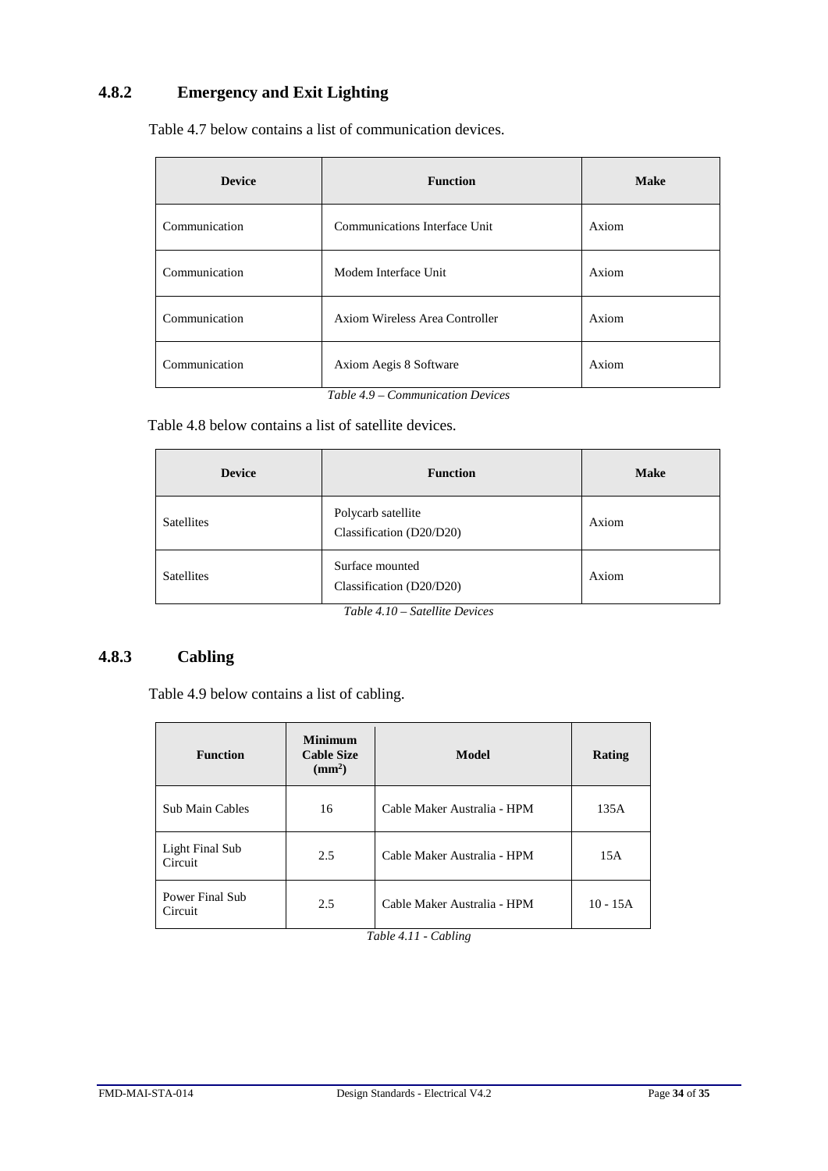## <span id="page-33-0"></span>**4.8.2 Emergency and Exit Lighting**

Table 4.7 below contains a list of communication devices.

| <b>Device</b> | <b>Function</b>                | <b>Make</b> |
|---------------|--------------------------------|-------------|
| Communication | Communications Interface Unit  | Axiom       |
| Communication | Modem Interface Unit           | Axiom       |
| Communication | Axiom Wireless Area Controller | Axiom       |
| Communication | Axiom Aegis 8 Software         | Axiom       |

*Table 4.9 – Communication Devices*

Table 4.8 below contains a list of satellite devices.

| <b>Device</b>     | <b>Function</b>                                | <b>Make</b> |
|-------------------|------------------------------------------------|-------------|
| <b>Satellites</b> | Polycarb satellite<br>Classification (D20/D20) | Axiom       |
| <b>Satellites</b> | Surface mounted<br>Classification (D20/D20)    | Axiom       |

*Table 4.10 – Satellite Devices*

## <span id="page-33-1"></span>**4.8.3 Cabling**

Table 4.9 below contains a list of cabling.

| <b>Function</b>            | <b>Minimum</b><br><b>Cable Size</b><br>$\text{ (mm}^2)$ | Model                       | Rating     |
|----------------------------|---------------------------------------------------------|-----------------------------|------------|
| Sub Main Cables            | 16                                                      | Cable Maker Australia - HPM | 135A       |
| Light Final Sub<br>Circuit | 2.5                                                     | Cable Maker Australia - HPM | 15A        |
| Power Final Sub<br>Circuit | 2.5                                                     | Cable Maker Australia - HPM | $10 - 15A$ |

*Table 4.11 - Cabling*